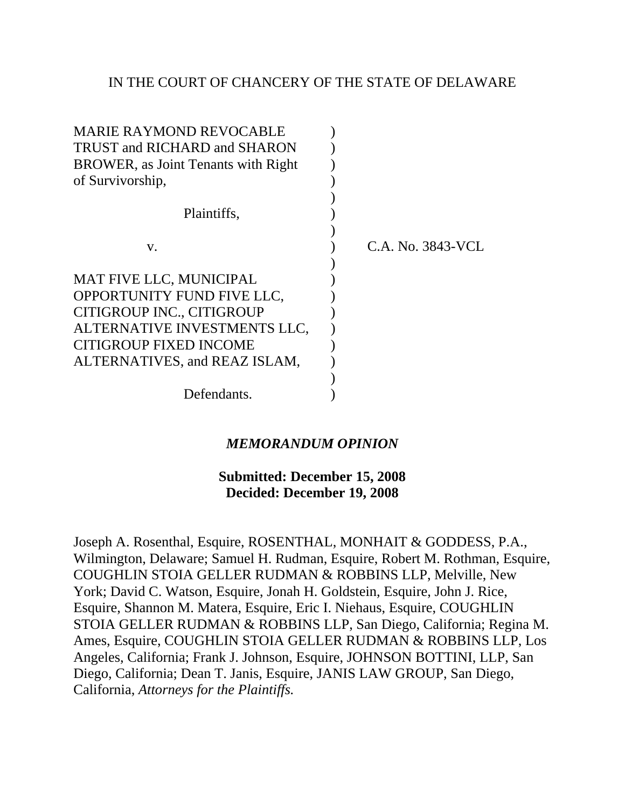## IN THE COURT OF CHANCERY OF THE STATE OF DELAWARE

| <b>MARIE RAYMOND REVOCABLE</b>              |                   |
|---------------------------------------------|-------------------|
| TRUST and RICHARD and SHARON                |                   |
| <b>BROWER</b> , as Joint Tenants with Right |                   |
| of Survivorship,                            |                   |
|                                             |                   |
| Plaintiffs,                                 |                   |
|                                             |                   |
| V.                                          | C.A. No. 3843-VCL |
|                                             |                   |
| MAT FIVE LLC, MUNICIPAL                     |                   |
| OPPORTUNITY FUND FIVE LLC,                  |                   |
| CITIGROUP INC., CITIGROUP                   |                   |
| ALTERNATIVE INVESTMENTS LLC,                |                   |
| <b>CITIGROUP FIXED INCOME</b>               |                   |
| ALTERNATIVES, and REAZ ISLAM,               |                   |
|                                             |                   |
| Defendants.                                 |                   |

# *MEMORANDUM OPINION*

## **Submitted: December 15, 2008 Decided: December 19, 2008**

Joseph A. Rosenthal, Esquire, ROSENTHAL, MONHAIT & GODDESS, P.A., Wilmington, Delaware; Samuel H. Rudman, Esquire, Robert M. Rothman, Esquire, COUGHLIN STOIA GELLER RUDMAN & ROBBINS LLP, Melville, New York; David C. Watson, Esquire, Jonah H. Goldstein, Esquire, John J. Rice, Esquire, Shannon M. Matera, Esquire, Eric I. Niehaus, Esquire, COUGHLIN STOIA GELLER RUDMAN & ROBBINS LLP, San Diego, California; Regina M. Ames, Esquire, COUGHLIN STOIA GELLER RUDMAN & ROBBINS LLP, Los Angeles, California; Frank J. Johnson, Esquire, JOHNSON BOTTINI, LLP, San Diego, California; Dean T. Janis, Esquire, JANIS LAW GROUP, San Diego, California, *Attorneys for the Plaintiffs.*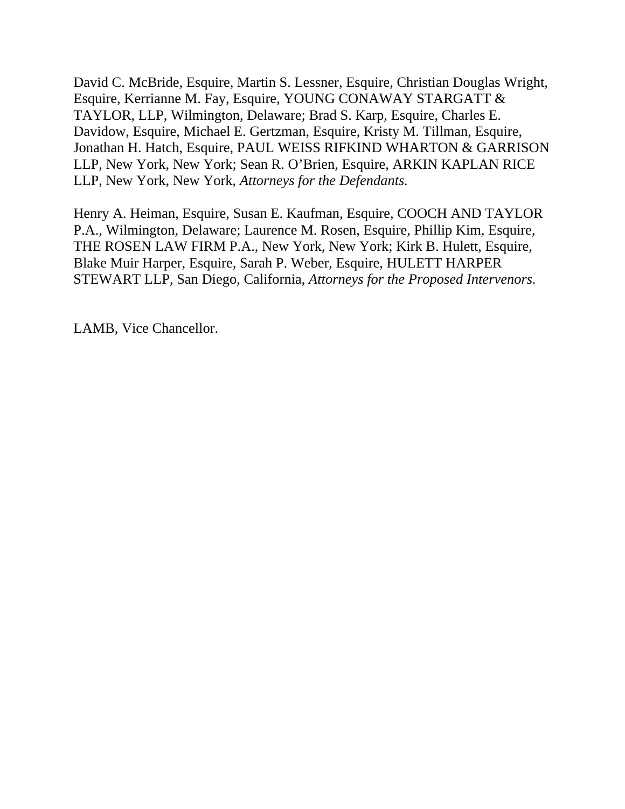David C. McBride, Esquire, Martin S. Lessner, Esquire, Christian Douglas Wright, Esquire, Kerrianne M. Fay, Esquire, YOUNG CONAWAY STARGATT & TAYLOR, LLP, Wilmington, Delaware; Brad S. Karp, Esquire, Charles E. Davidow, Esquire, Michael E. Gertzman, Esquire, Kristy M. Tillman, Esquire, Jonathan H. Hatch, Esquire, PAUL WEISS RIFKIND WHARTON & GARRISON LLP, New York, New York; Sean R. O'Brien, Esquire, ARKIN KAPLAN RICE LLP, New York, New York, *Attorneys for the Defendants.*

Henry A. Heiman, Esquire, Susan E. Kaufman, Esquire, COOCH AND TAYLOR P.A., Wilmington, Delaware; Laurence M. Rosen, Esquire, Phillip Kim, Esquire, THE ROSEN LAW FIRM P.A., New York, New York; Kirk B. Hulett, Esquire, Blake Muir Harper, Esquire, Sarah P. Weber, Esquire, HULETT HARPER STEWART LLP, San Diego, California, *Attorneys for the Proposed Intervenors.*

LAMB, Vice Chancellor.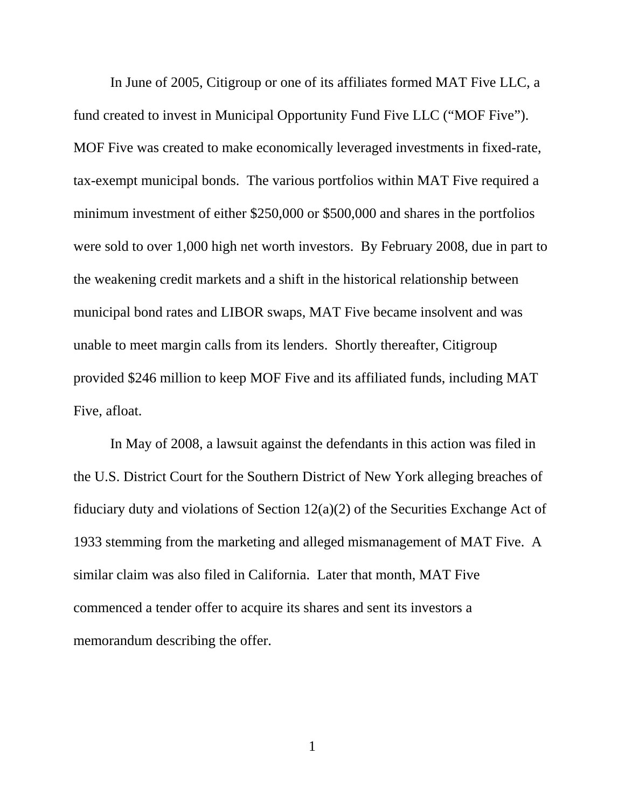In June of 2005, Citigroup or one of its affiliates formed MAT Five LLC, a fund created to invest in Municipal Opportunity Fund Five LLC ("MOF Five"). MOF Five was created to make economically leveraged investments in fixed-rate, tax-exempt municipal bonds. The various portfolios within MAT Five required a minimum investment of either \$250,000 or \$500,000 and shares in the portfolios were sold to over 1,000 high net worth investors. By February 2008, due in part to the weakening credit markets and a shift in the historical relationship between municipal bond rates and LIBOR swaps, MAT Five became insolvent and was unable to meet margin calls from its lenders. Shortly thereafter, Citigroup provided \$246 million to keep MOF Five and its affiliated funds, including MAT Five, afloat.

In May of 2008, a lawsuit against the defendants in this action was filed in the U.S. District Court for the Southern District of New York alleging breaches of fiduciary duty and violations of Section 12(a)(2) of the Securities Exchange Act of 1933 stemming from the marketing and alleged mismanagement of MAT Five. A similar claim was also filed in California. Later that month, MAT Five commenced a tender offer to acquire its shares and sent its investors a memorandum describing the offer.

1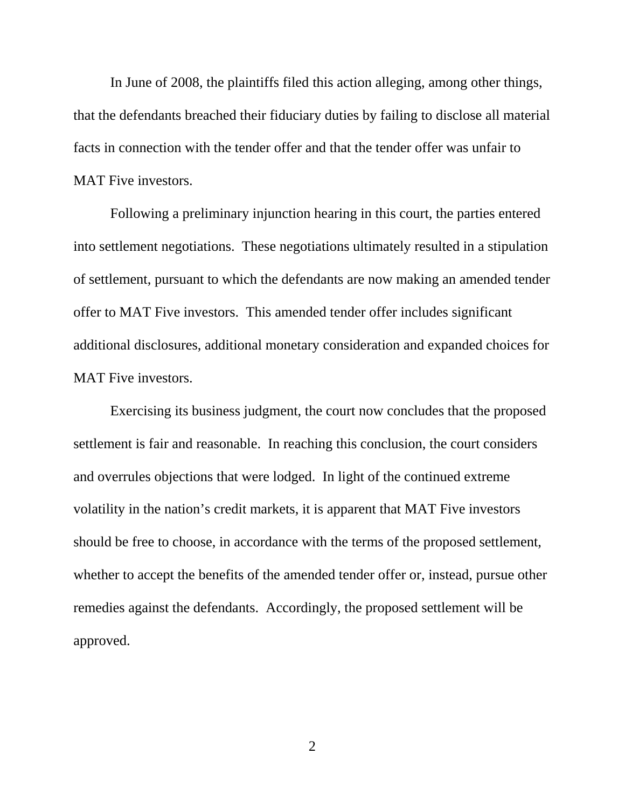In June of 2008, the plaintiffs filed this action alleging, among other things, that the defendants breached their fiduciary duties by failing to disclose all material facts in connection with the tender offer and that the tender offer was unfair to MAT Five investors.

Following a preliminary injunction hearing in this court, the parties entered into settlement negotiations. These negotiations ultimately resulted in a stipulation of settlement, pursuant to which the defendants are now making an amended tender offer to MAT Five investors. This amended tender offer includes significant additional disclosures, additional monetary consideration and expanded choices for MAT Five investors.

Exercising its business judgment, the court now concludes that the proposed settlement is fair and reasonable. In reaching this conclusion, the court considers and overrules objections that were lodged. In light of the continued extreme volatility in the nation's credit markets, it is apparent that MAT Five investors should be free to choose, in accordance with the terms of the proposed settlement, whether to accept the benefits of the amended tender offer or, instead, pursue other remedies against the defendants. Accordingly, the proposed settlement will be approved.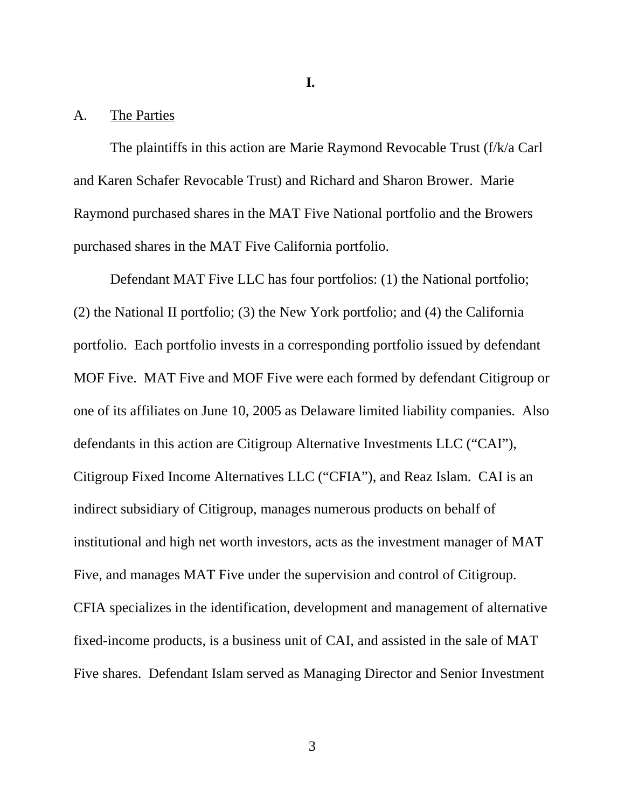**I.** 

### A. The Parties

The plaintiffs in this action are Marie Raymond Revocable Trust (f/k/a Carl and Karen Schafer Revocable Trust) and Richard and Sharon Brower. Marie Raymond purchased shares in the MAT Five National portfolio and the Browers purchased shares in the MAT Five California portfolio.

Defendant MAT Five LLC has four portfolios: (1) the National portfolio; (2) the National II portfolio; (3) the New York portfolio; and (4) the California portfolio. Each portfolio invests in a corresponding portfolio issued by defendant MOF Five. MAT Five and MOF Five were each formed by defendant Citigroup or one of its affiliates on June 10, 2005 as Delaware limited liability companies. Also defendants in this action are Citigroup Alternative Investments LLC ("CAI"), Citigroup Fixed Income Alternatives LLC ("CFIA"), and Reaz Islam. CAI is an indirect subsidiary of Citigroup, manages numerous products on behalf of institutional and high net worth investors, acts as the investment manager of MAT Five, and manages MAT Five under the supervision and control of Citigroup. CFIA specializes in the identification, development and management of alternative fixed-income products, is a business unit of CAI, and assisted in the sale of MAT Five shares. Defendant Islam served as Managing Director and Senior Investment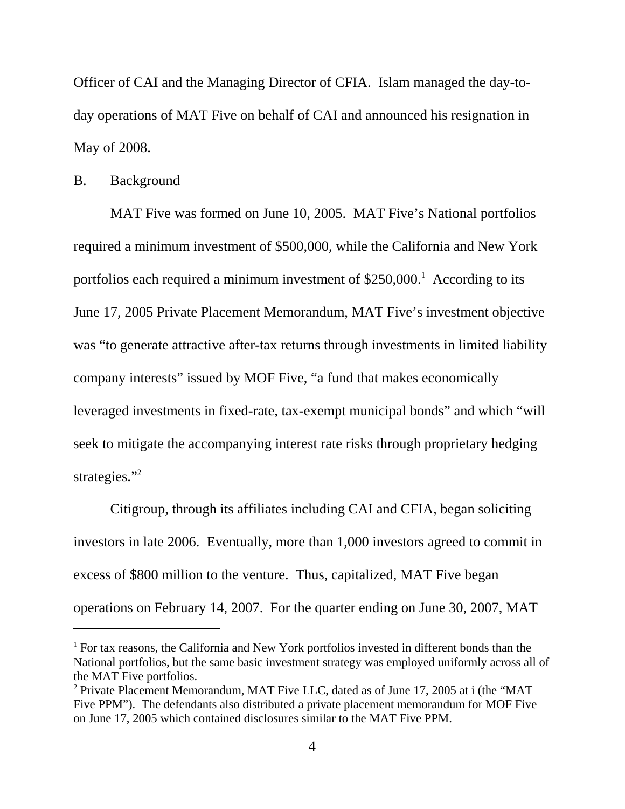Officer of CAI and the Managing Director of CFIA. Islam managed the day-today operations of MAT Five on behalf of CAI and announced his resignation in May of 2008.

## B. Background

MAT Five was formed on June 10, 2005. MAT Five's National portfolios required a minimum investment of \$500,000, while the California and New York portfolios each required a minimum investment of  $$250,000$ <sup>1</sup> According to its June 17, 2005 Private Placement Memorandum, MAT Five's investment objective was "to generate attractive after-tax returns through investments in limited liability company interests" issued by MOF Five, "a fund that makes economically leveraged investments in fixed-rate, tax-exempt municipal bonds" and which "will seek to mitigate the accompanying interest rate risks through proprietary hedging strategies."<sup>2</sup>

Citigroup, through its affiliates including CAI and CFIA, began soliciting investors in late 2006. Eventually, more than 1,000 investors agreed to commit in excess of \$800 million to the venture. Thus, capitalized, MAT Five began operations on February 14, 2007. For the quarter ending on June 30, 2007, MAT

<sup>&</sup>lt;sup>1</sup> For tax reasons, the California and New York portfolios invested in different bonds than the National portfolios, but the same basic investment strategy was employed uniformly across all of the MAT Five portfolios.

<sup>&</sup>lt;sup>2</sup> Private Placement Memorandum, MAT Five LLC, dated as of June 17, 2005 at i (the "MAT Five PPM"). The defendants also distributed a private placement memorandum for MOF Five on June 17, 2005 which contained disclosures similar to the MAT Five PPM.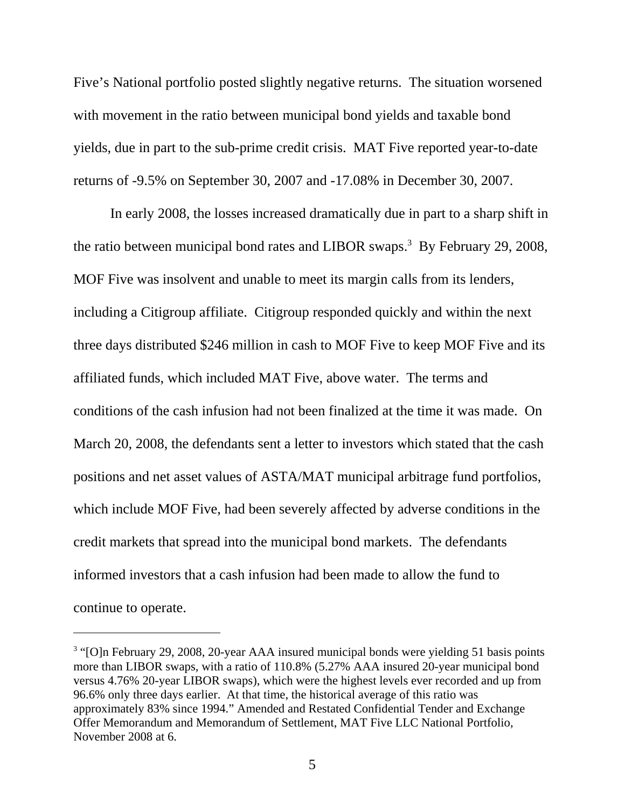Five's National portfolio posted slightly negative returns. The situation worsened with movement in the ratio between municipal bond yields and taxable bond yields, due in part to the sub-prime credit crisis. MAT Five reported year-to-date returns of -9.5% on September 30, 2007 and -17.08% in December 30, 2007.

In early 2008, the losses increased dramatically due in part to a sharp shift in the ratio between municipal bond rates and LIBOR swaps.<sup>3</sup> By February 29, 2008, MOF Five was insolvent and unable to meet its margin calls from its lenders, including a Citigroup affiliate. Citigroup responded quickly and within the next three days distributed \$246 million in cash to MOF Five to keep MOF Five and its affiliated funds, which included MAT Five, above water. The terms and conditions of the cash infusion had not been finalized at the time it was made. On March 20, 2008, the defendants sent a letter to investors which stated that the cash positions and net asset values of ASTA/MAT municipal arbitrage fund portfolios, which include MOF Five, had been severely affected by adverse conditions in the credit markets that spread into the municipal bond markets. The defendants informed investors that a cash infusion had been made to allow the fund to continue to operate.

<sup>&</sup>lt;sup>3</sup> "[O]n February 29, 2008, 20-year AAA insured municipal bonds were yielding 51 basis points more than LIBOR swaps, with a ratio of 110.8% (5.27% AAA insured 20-year municipal bond versus 4.76% 20-year LIBOR swaps), which were the highest levels ever recorded and up from 96.6% only three days earlier. At that time, the historical average of this ratio was approximately 83% since 1994." Amended and Restated Confidential Tender and Exchange Offer Memorandum and Memorandum of Settlement, MAT Five LLC National Portfolio, November 2008 at 6.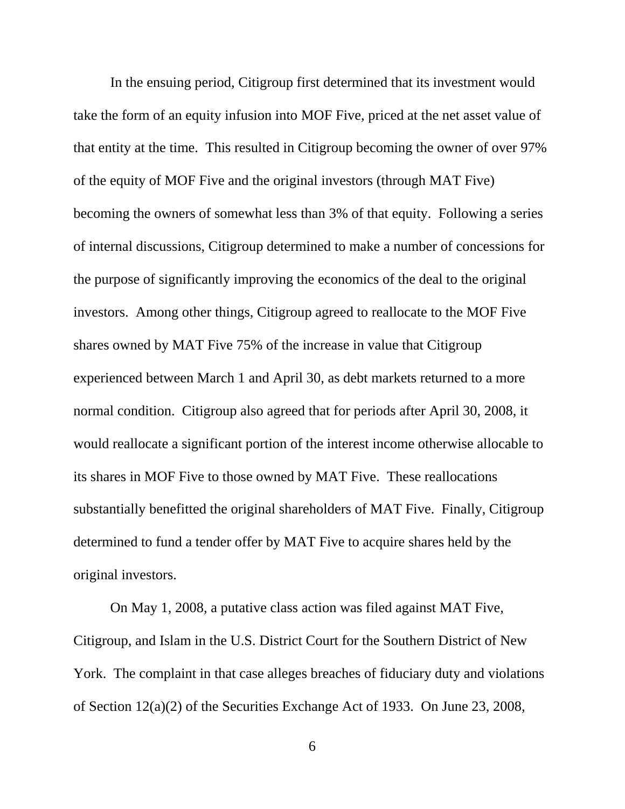In the ensuing period, Citigroup first determined that its investment would take the form of an equity infusion into MOF Five, priced at the net asset value of that entity at the time. This resulted in Citigroup becoming the owner of over 97% of the equity of MOF Five and the original investors (through MAT Five) becoming the owners of somewhat less than 3% of that equity. Following a series of internal discussions, Citigroup determined to make a number of concessions for the purpose of significantly improving the economics of the deal to the original investors. Among other things, Citigroup agreed to reallocate to the MOF Five shares owned by MAT Five 75% of the increase in value that Citigroup experienced between March 1 and April 30, as debt markets returned to a more normal condition. Citigroup also agreed that for periods after April 30, 2008, it would reallocate a significant portion of the interest income otherwise allocable to its shares in MOF Five to those owned by MAT Five. These reallocations substantially benefitted the original shareholders of MAT Five. Finally, Citigroup determined to fund a tender offer by MAT Five to acquire shares held by the original investors.

On May 1, 2008, a putative class action was filed against MAT Five, Citigroup, and Islam in the U.S. District Court for the Southern District of New York. The complaint in that case alleges breaches of fiduciary duty and violations of Section 12(a)(2) of the Securities Exchange Act of 1933. On June 23, 2008,

6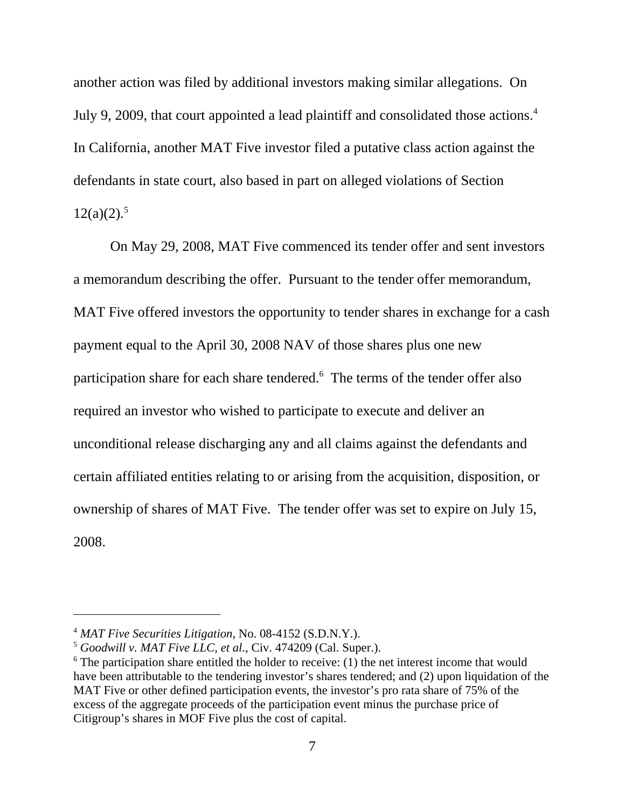another action was filed by additional investors making similar allegations. On July 9, 2009, that court appointed a lead plaintiff and consolidated those actions.<sup>4</sup> In California, another MAT Five investor filed a putative class action against the defendants in state court, also based in part on alleged violations of Section  $12(a)(2).$ <sup>5</sup>

On May 29, 2008, MAT Five commenced its tender offer and sent investors a memorandum describing the offer. Pursuant to the tender offer memorandum, MAT Five offered investors the opportunity to tender shares in exchange for a cash payment equal to the April 30, 2008 NAV of those shares plus one new participation share for each share tendered.<sup>6</sup> The terms of the tender offer also required an investor who wished to participate to execute and deliver an unconditional release discharging any and all claims against the defendants and certain affiliated entities relating to or arising from the acquisition, disposition, or ownership of shares of MAT Five. The tender offer was set to expire on July 15, 2008.

<sup>4</sup> *MAT Five Securities Litigation*, No. 08-4152 (S.D.N.Y.).

<sup>5</sup> *Goodwill v. MAT Five LLC, et al.*, Civ. 474209 (Cal. Super.).

 $6$  The participation share entitled the holder to receive: (1) the net interest income that would have been attributable to the tendering investor's shares tendered; and (2) upon liquidation of the MAT Five or other defined participation events, the investor's pro rata share of 75% of the excess of the aggregate proceeds of the participation event minus the purchase price of Citigroup's shares in MOF Five plus the cost of capital.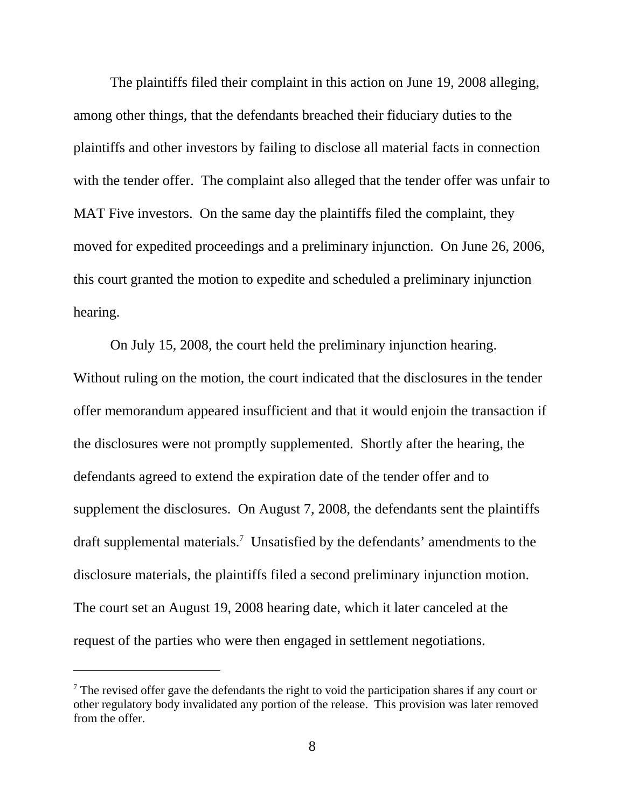The plaintiffs filed their complaint in this action on June 19, 2008 alleging, among other things, that the defendants breached their fiduciary duties to the plaintiffs and other investors by failing to disclose all material facts in connection with the tender offer. The complaint also alleged that the tender offer was unfair to MAT Five investors. On the same day the plaintiffs filed the complaint, they moved for expedited proceedings and a preliminary injunction. On June 26, 2006, this court granted the motion to expedite and scheduled a preliminary injunction hearing.

On July 15, 2008, the court held the preliminary injunction hearing. Without ruling on the motion, the court indicated that the disclosures in the tender offer memorandum appeared insufficient and that it would enjoin the transaction if the disclosures were not promptly supplemented. Shortly after the hearing, the defendants agreed to extend the expiration date of the tender offer and to supplement the disclosures. On August 7, 2008, the defendants sent the plaintiffs draft supplemental materials.<sup>7</sup> Unsatisfied by the defendants' amendments to the disclosure materials, the plaintiffs filed a second preliminary injunction motion. The court set an August 19, 2008 hearing date, which it later canceled at the request of the parties who were then engaged in settlement negotiations.

 $<sup>7</sup>$  The revised offer gave the defendants the right to void the participation shares if any court or</sup> other regulatory body invalidated any portion of the release. This provision was later removed from the offer.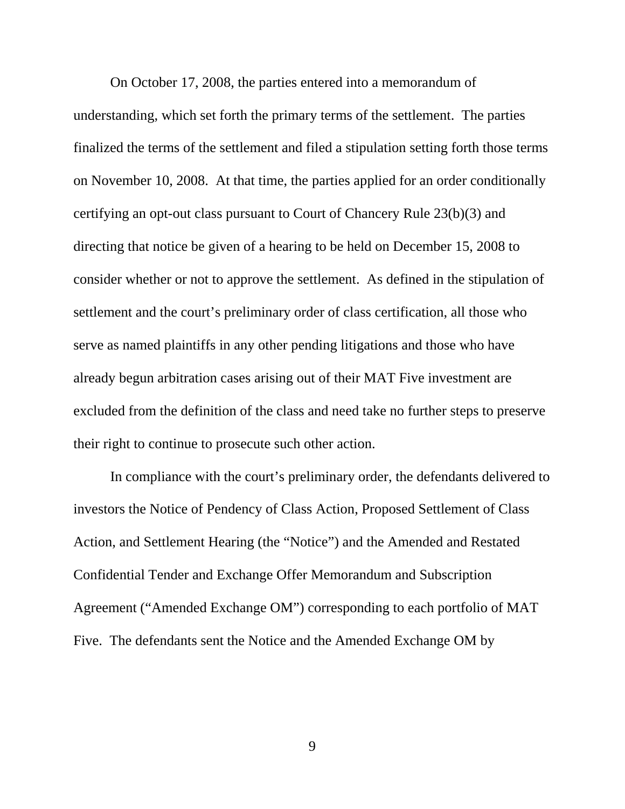On October 17, 2008, the parties entered into a memorandum of understanding, which set forth the primary terms of the settlement. The parties finalized the terms of the settlement and filed a stipulation setting forth those terms on November 10, 2008. At that time, the parties applied for an order conditionally certifying an opt-out class pursuant to Court of Chancery Rule 23(b)(3) and directing that notice be given of a hearing to be held on December 15, 2008 to consider whether or not to approve the settlement. As defined in the stipulation of settlement and the court's preliminary order of class certification, all those who serve as named plaintiffs in any other pending litigations and those who have already begun arbitration cases arising out of their MAT Five investment are excluded from the definition of the class and need take no further steps to preserve their right to continue to prosecute such other action.

In compliance with the court's preliminary order, the defendants delivered to investors the Notice of Pendency of Class Action, Proposed Settlement of Class Action, and Settlement Hearing (the "Notice") and the Amended and Restated Confidential Tender and Exchange Offer Memorandum and Subscription Agreement ("Amended Exchange OM") corresponding to each portfolio of MAT Five. The defendants sent the Notice and the Amended Exchange OM by

9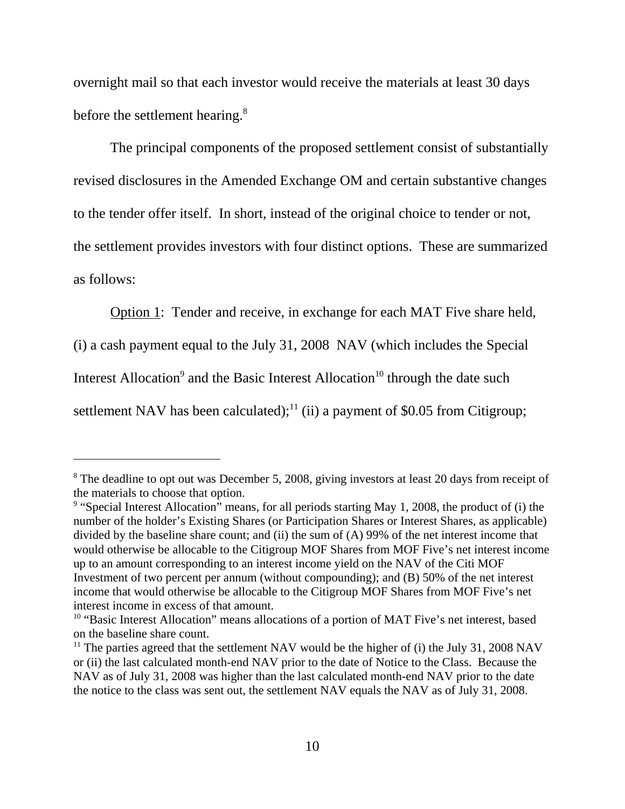overnight mail so that each investor would receive the materials at least 30 days before the settlement hearing.<sup>8</sup>

The principal components of the proposed settlement consist of substantially revised disclosures in the Amended Exchange OM and certain substantive changes to the tender offer itself. In short, instead of the original choice to tender or not, the settlement provides investors with four distinct options. These are summarized as follows:

Option 1: Tender and receive, in exchange for each MAT Five share held,

(i) a cash payment equal to the July 31, 2008 NAV (which includes the Special

Interest Allocation<sup>9</sup> and the Basic Interest Allocation<sup>10</sup> through the date such

settlement NAV has been calculated);<sup>11</sup> (ii) a payment of \$0.05 from Citigroup;

<sup>&</sup>lt;sup>8</sup> The deadline to opt out was December 5, 2008, giving investors at least 20 days from receipt of the materials to choose that option.

<sup>&</sup>lt;sup>9</sup> "Special Interest Allocation" means, for all periods starting May 1, 2008, the product of (i) the number of the holder's Existing Shares (or Participation Shares or Interest Shares, as applicable) divided by the baseline share count; and (ii) the sum of (A) 99% of the net interest income that would otherwise be allocable to the Citigroup MOF Shares from MOF Five's net interest income up to an amount corresponding to an interest income yield on the NAV of the Citi MOF Investment of two percent per annum (without compounding); and (B) 50% of the net interest income that would otherwise be allocable to the Citigroup MOF Shares from MOF Five's net interest income in excess of that amount.

<sup>&</sup>lt;sup>10</sup> "Basic Interest Allocation" means allocations of a portion of MAT Five's net interest, based on the baseline share count.

<sup>&</sup>lt;sup>11</sup> The parties agreed that the settlement NAV would be the higher of (i) the July 31, 2008 NAV or (ii) the last calculated month-end NAV prior to the date of Notice to the Class. Because the NAV as of July 31, 2008 was higher than the last calculated month-end NAV prior to the date the notice to the class was sent out, the settlement NAV equals the NAV as of July 31, 2008.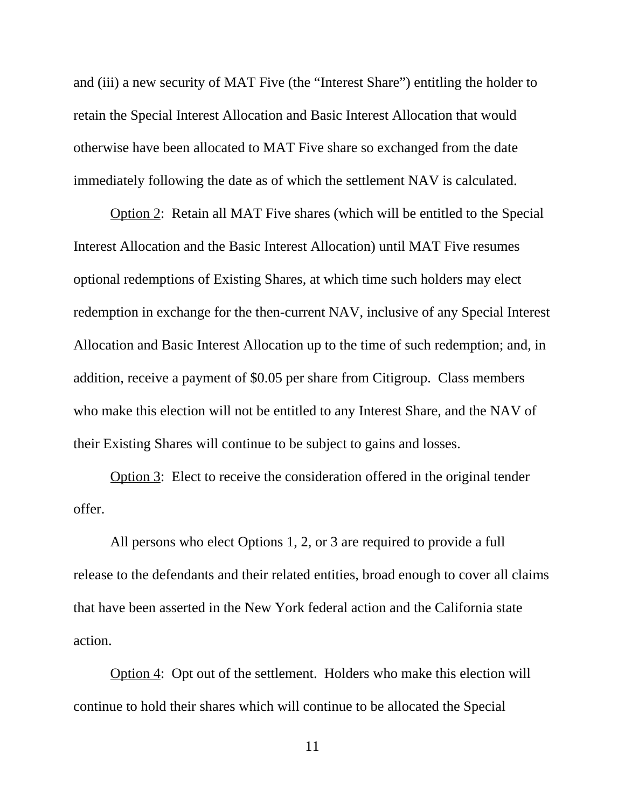and (iii) a new security of MAT Five (the "Interest Share") entitling the holder to retain the Special Interest Allocation and Basic Interest Allocation that would otherwise have been allocated to MAT Five share so exchanged from the date immediately following the date as of which the settlement NAV is calculated.

Option 2: Retain all MAT Five shares (which will be entitled to the Special Interest Allocation and the Basic Interest Allocation) until MAT Five resumes optional redemptions of Existing Shares, at which time such holders may elect redemption in exchange for the then-current NAV, inclusive of any Special Interest Allocation and Basic Interest Allocation up to the time of such redemption; and, in addition, receive a payment of \$0.05 per share from Citigroup. Class members who make this election will not be entitled to any Interest Share, and the NAV of their Existing Shares will continue to be subject to gains and losses.

Option 3: Elect to receive the consideration offered in the original tender offer.

All persons who elect Options 1, 2, or 3 are required to provide a full release to the defendants and their related entities, broad enough to cover all claims that have been asserted in the New York federal action and the California state action.

Option 4: Opt out of the settlement. Holders who make this election will continue to hold their shares which will continue to be allocated the Special

11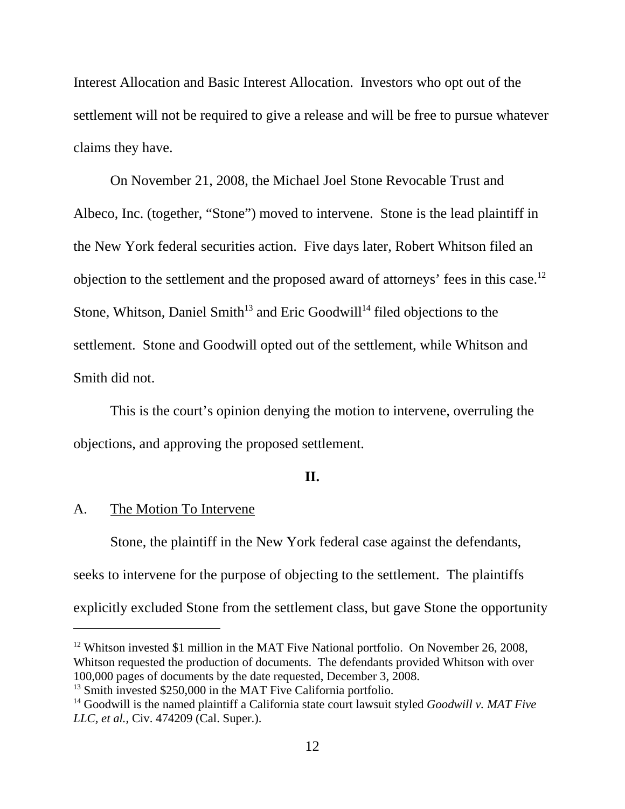Interest Allocation and Basic Interest Allocation. Investors who opt out of the settlement will not be required to give a release and will be free to pursue whatever claims they have.

On November 21, 2008, the Michael Joel Stone Revocable Trust and Albeco, Inc. (together, "Stone") moved to intervene. Stone is the lead plaintiff in the New York federal securities action. Five days later, Robert Whitson filed an objection to the settlement and the proposed award of attorneys' fees in this case.12 Stone, Whitson, Daniel Smith<sup>13</sup> and Eric Goodwill<sup>14</sup> filed objections to the settlement. Stone and Goodwill opted out of the settlement, while Whitson and Smith did not.

This is the court's opinion denying the motion to intervene, overruling the objections, and approving the proposed settlement.

### **II.**

#### A. The Motion To Intervene

Stone, the plaintiff in the New York federal case against the defendants, seeks to intervene for the purpose of objecting to the settlement. The plaintiffs explicitly excluded Stone from the settlement class, but gave Stone the opportunity

<sup>12</sup> Whitson invested \$1 million in the MAT Five National portfolio. On November 26, 2008, Whitson requested the production of documents. The defendants provided Whitson with over 100,000 pages of documents by the date requested, December 3, 2008.

<sup>&</sup>lt;sup>13</sup> Smith invested \$250,000 in the MAT Five California portfolio.

<sup>&</sup>lt;sup>14</sup> Goodwill is the named plaintiff a California state court lawsuit styled *Goodwill v. MAT Five LLC, et al.*, Civ. 474209 (Cal. Super.).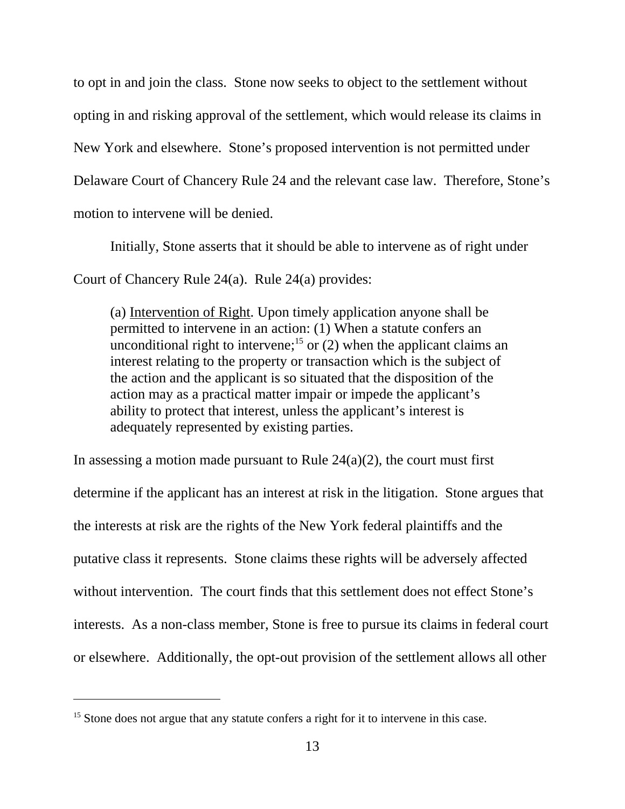to opt in and join the class. Stone now seeks to object to the settlement without opting in and risking approval of the settlement, which would release its claims in New York and elsewhere. Stone's proposed intervention is not permitted under Delaware Court of Chancery Rule 24 and the relevant case law. Therefore, Stone's motion to intervene will be denied.

Initially, Stone asserts that it should be able to intervene as of right under Court of Chancery Rule 24(a). Rule 24(a) provides:

(a) Intervention of Right. Upon timely application anyone shall be permitted to intervene in an action: (1) When a statute confers an unconditional right to intervene;<sup>15</sup> or  $(2)$  when the applicant claims an interest relating to the property or transaction which is the subject of the action and the applicant is so situated that the disposition of the action may as a practical matter impair or impede the applicant's ability to protect that interest, unless the applicant's interest is adequately represented by existing parties.

In assessing a motion made pursuant to Rule  $24(a)(2)$ , the court must first determine if the applicant has an interest at risk in the litigation. Stone argues that the interests at risk are the rights of the New York federal plaintiffs and the putative class it represents. Stone claims these rights will be adversely affected without intervention. The court finds that this settlement does not effect Stone's interests. As a non-class member, Stone is free to pursue its claims in federal court or elsewhere. Additionally, the opt-out provision of the settlement allows all other

<sup>&</sup>lt;sup>15</sup> Stone does not argue that any statute confers a right for it to intervene in this case.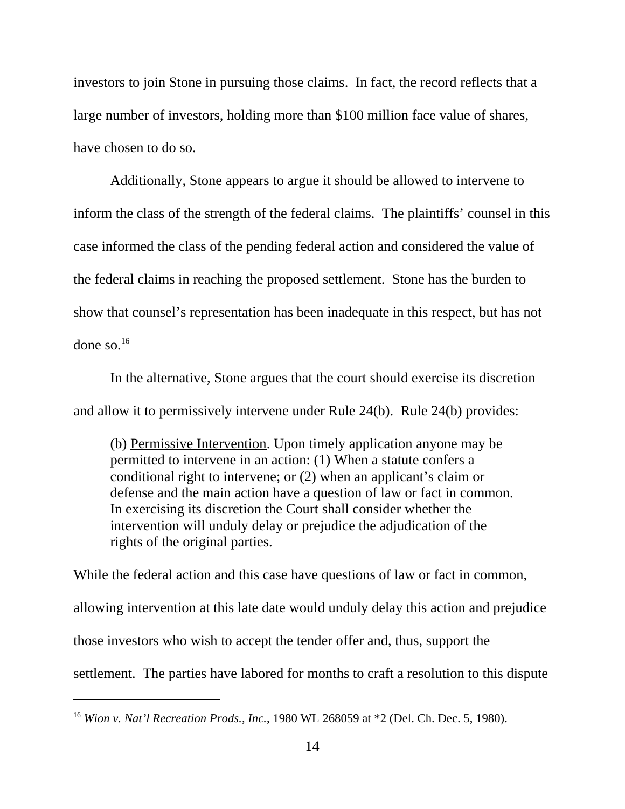investors to join Stone in pursuing those claims. In fact, the record reflects that a large number of investors, holding more than \$100 million face value of shares, have chosen to do so.

Additionally, Stone appears to argue it should be allowed to intervene to inform the class of the strength of the federal claims. The plaintiffs' counsel in this case informed the class of the pending federal action and considered the value of the federal claims in reaching the proposed settlement. Stone has the burden to show that counsel's representation has been inadequate in this respect, but has not done so. $16$ 

In the alternative, Stone argues that the court should exercise its discretion and allow it to permissively intervene under Rule 24(b). Rule 24(b) provides:

(b) Permissive Intervention. Upon timely application anyone may be permitted to intervene in an action: (1) When a statute confers a conditional right to intervene; or (2) when an applicant's claim or defense and the main action have a question of law or fact in common. In exercising its discretion the Court shall consider whether the intervention will unduly delay or prejudice the adjudication of the rights of the original parties.

While the federal action and this case have questions of law or fact in common, allowing intervention at this late date would unduly delay this action and prejudice those investors who wish to accept the tender offer and, thus, support the settlement. The parties have labored for months to craft a resolution to this dispute

<sup>16</sup> *Wion v. Nat'l Recreation Prods., Inc.*, 1980 WL 268059 at \*2 (Del. Ch. Dec. 5, 1980).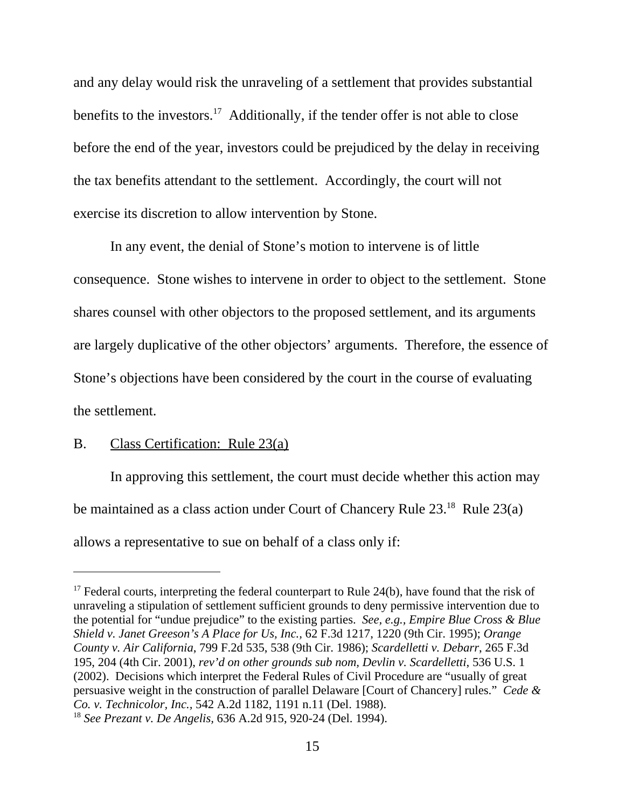and any delay would risk the unraveling of a settlement that provides substantial benefits to the investors.<sup>17</sup> Additionally, if the tender offer is not able to close before the end of the year, investors could be prejudiced by the delay in receiving the tax benefits attendant to the settlement. Accordingly, the court will not exercise its discretion to allow intervention by Stone.

In any event, the denial of Stone's motion to intervene is of little consequence. Stone wishes to intervene in order to object to the settlement. Stone shares counsel with other objectors to the proposed settlement, and its arguments are largely duplicative of the other objectors' arguments. Therefore, the essence of Stone's objections have been considered by the court in the course of evaluating the settlement.

## B. Class Certification: Rule 23(a)

In approving this settlement, the court must decide whether this action may be maintained as a class action under Court of Chancery Rule 23.<sup>18</sup> Rule 23(a) allows a representative to sue on behalf of a class only if:

 $17$  Federal courts, interpreting the federal counterpart to Rule 24(b), have found that the risk of unraveling a stipulation of settlement sufficient grounds to deny permissive intervention due to the potential for "undue prejudice" to the existing parties. *See, e.g., Empire Blue Cross & Blue Shield v. Janet Greeson's A Place for Us, Inc.,* 62 F.3d 1217, 1220 (9th Cir. 1995); *Orange County v. Air California*, 799 F.2d 535, 538 (9th Cir. 1986); *Scardelletti v. Debarr*, 265 F.3d 195, 204 (4th Cir. 2001), *rev'd on other grounds sub nom, Devlin v. Scardelletti*, 536 U.S. 1 (2002). Decisions which interpret the Federal Rules of Civil Procedure are "usually of great persuasive weight in the construction of parallel Delaware [Court of Chancery] rules." *Cede & Co. v. Technicolor, Inc.,* 542 A.2d 1182, 1191 n.11 (Del. 1988).

<sup>18</sup> *See Prezant v. De Angelis,* 636 A.2d 915, 920-24 (Del. 1994).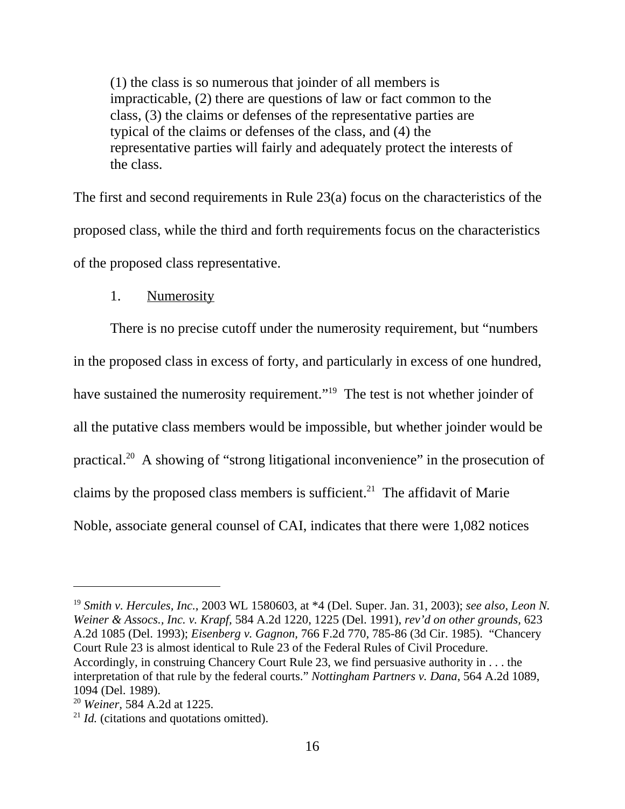(1) the class is so numerous that joinder of all members is impracticable, (2) there are questions of law or fact common to the class, (3) the claims or defenses of the representative parties are typical of the claims or defenses of the class, and (4) the representative parties will fairly and adequately protect the interests of the class.

The first and second requirements in Rule 23(a) focus on the characteristics of the proposed class, while the third and forth requirements focus on the characteristics of the proposed class representative.

### 1. Numerosity

There is no precise cutoff under the numerosity requirement, but "numbers in the proposed class in excess of forty, and particularly in excess of one hundred, have sustained the numerosity requirement."<sup>19</sup> The test is not whether joinder of all the putative class members would be impossible, but whether joinder would be practical.20 A showing of "strong litigational inconvenience" in the prosecution of claims by the proposed class members is sufficient.<sup>21</sup> The affidavit of Marie Noble, associate general counsel of CAI, indicates that there were 1,082 notices

<sup>19</sup> *Smith v. Hercules, Inc.*, 2003 WL 1580603, at \*4 (Del. Super. Jan. 31, 2003); *see also*, *Leon N. Weiner & Assocs., Inc. v. Krapf,* 584 A.2d 1220, 1225 (Del. 1991), *rev'd on other grounds,* 623 A.2d 1085 (Del. 1993); *Eisenberg v. Gagnon,* 766 F.2d 770, 785-86 (3d Cir. 1985). "Chancery Court Rule 23 is almost identical to Rule 23 of the Federal Rules of Civil Procedure. Accordingly, in construing Chancery Court Rule 23, we find persuasive authority in . . . the interpretation of that rule by the federal courts." *Nottingham Partners v. Dana*, 564 A.2d 1089, 1094 (Del. 1989).

<sup>20</sup> *Weiner,* 584 A.2d at 1225.

<sup>&</sup>lt;sup>21</sup> *Id.* (citations and quotations omitted).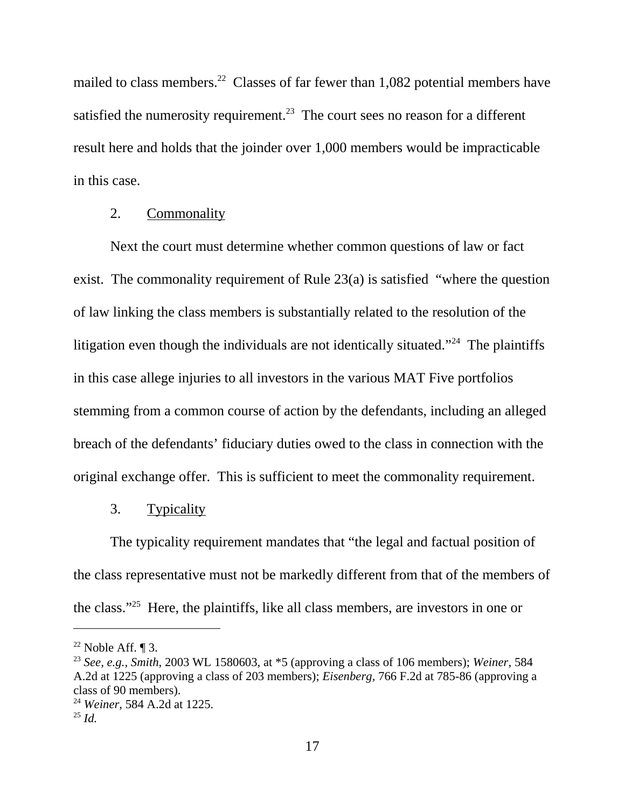mailed to class members.<sup>22</sup> Classes of far fewer than 1,082 potential members have satisfied the numerosity requirement.<sup>23</sup> The court sees no reason for a different result here and holds that the joinder over 1,000 members would be impracticable in this case.

### 2. Commonality

Next the court must determine whether common questions of law or fact exist. The commonality requirement of Rule 23(a) is satisfied "where the question of law linking the class members is substantially related to the resolution of the litigation even though the individuals are not identically situated."<sup>24</sup> The plaintiffs in this case allege injuries to all investors in the various MAT Five portfolios stemming from a common course of action by the defendants, including an alleged breach of the defendants' fiduciary duties owed to the class in connection with the original exchange offer. This is sufficient to meet the commonality requirement.

#### 3. Typicality

The typicality requirement mandates that "the legal and factual position of the class representative must not be markedly different from that of the members of the class."25 Here, the plaintiffs, like all class members, are investors in one or

 $22$  Noble Aff. ¶ 3.

<sup>23</sup> *See, e.g., Smith*, 2003 WL 1580603, at \*5 (approving a class of 106 members); *Weiner,* 584 A.2d at 1225 (approving a class of 203 members); *Eisenberg,* 766 F.2d at 785-86 (approving a class of 90 members).

<sup>24</sup> *Weiner*, 584 A.2d at 1225.

<sup>25</sup> *Id.*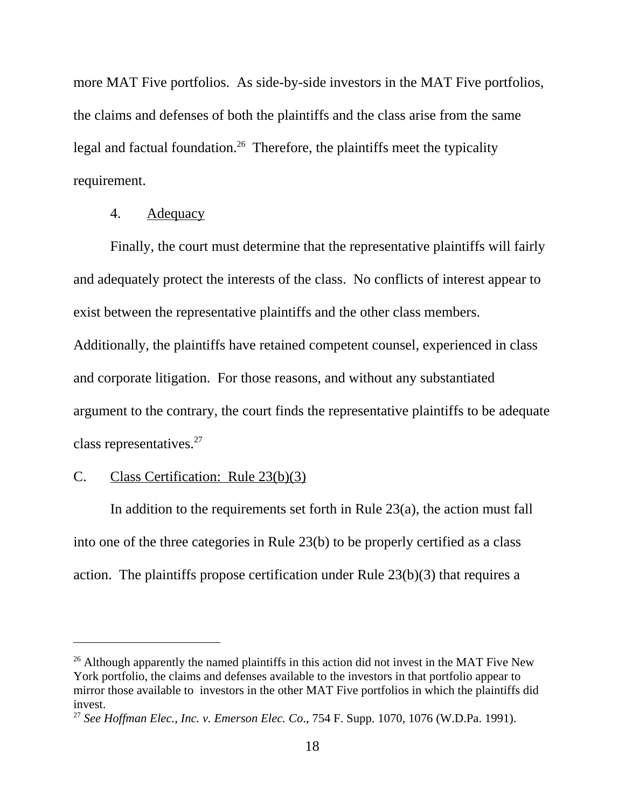more MAT Five portfolios. As side-by-side investors in the MAT Five portfolios, the claims and defenses of both the plaintiffs and the class arise from the same legal and factual foundation.<sup>26</sup> Therefore, the plaintiffs meet the typicality requirement.

## 4. Adequacy

Finally, the court must determine that the representative plaintiffs will fairly and adequately protect the interests of the class. No conflicts of interest appear to exist between the representative plaintiffs and the other class members. Additionally, the plaintiffs have retained competent counsel, experienced in class and corporate litigation. For those reasons, and without any substantiated argument to the contrary, the court finds the representative plaintiffs to be adequate class representatives.27

### C. Class Certification: Rule 23(b)(3)

In addition to the requirements set forth in Rule  $23(a)$ , the action must fall into one of the three categories in Rule 23(b) to be properly certified as a class action. The plaintiffs propose certification under Rule 23(b)(3) that requires a

 $26$  Although apparently the named plaintiffs in this action did not invest in the MAT Five New York portfolio, the claims and defenses available to the investors in that portfolio appear to mirror those available to investors in the other MAT Five portfolios in which the plaintiffs did invest.

<sup>27</sup> *See Hoffman Elec., Inc. v. Emerson Elec. Co*., 754 F. Supp. 1070, 1076 (W.D.Pa. 1991).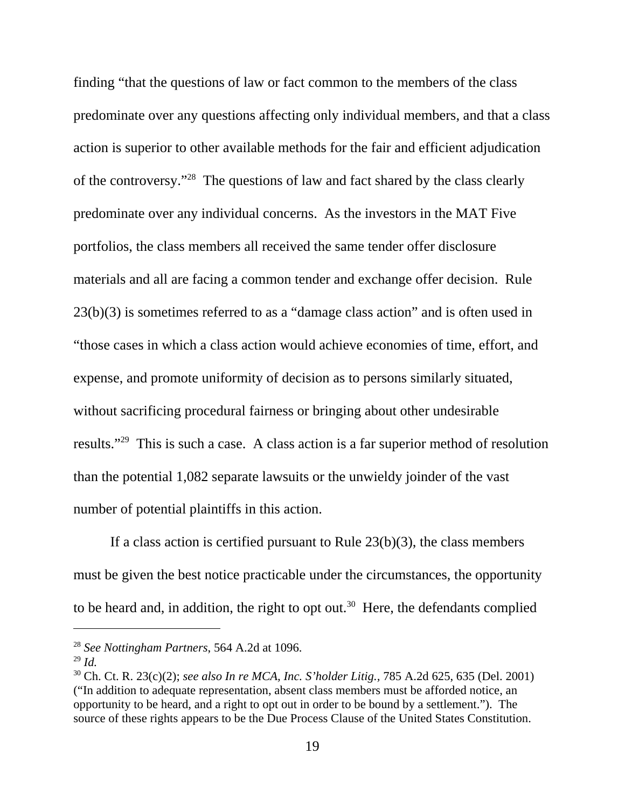finding "that the questions of law or fact common to the members of the class predominate over any questions affecting only individual members, and that a class action is superior to other available methods for the fair and efficient adjudication of the controversy."28 The questions of law and fact shared by the class clearly predominate over any individual concerns. As the investors in the MAT Five portfolios, the class members all received the same tender offer disclosure materials and all are facing a common tender and exchange offer decision. Rule 23(b)(3) is sometimes referred to as a "damage class action" and is often used in "those cases in which a class action would achieve economies of time, effort, and expense, and promote uniformity of decision as to persons similarly situated, without sacrificing procedural fairness or bringing about other undesirable results."29 This is such a case. A class action is a far superior method of resolution than the potential 1,082 separate lawsuits or the unwieldy joinder of the vast number of potential plaintiffs in this action.

If a class action is certified pursuant to Rule  $23(b)(3)$ , the class members must be given the best notice practicable under the circumstances, the opportunity to be heard and, in addition, the right to opt out.<sup>30</sup> Here, the defendants complied

<sup>28</sup> *See Nottingham Partners*, 564 A.2d at 1096.

<sup>29</sup> *Id.*

<sup>30</sup> Ch. Ct. R. 23(c)(2); *see also In re MCA, Inc. S'holder Litig.,* 785 A.2d 625, 635 (Del. 2001) ("In addition to adequate representation, absent class members must be afforded notice, an opportunity to be heard, and a right to opt out in order to be bound by a settlement.").The source of these rights appears to be the Due Process Clause of the United States Constitution.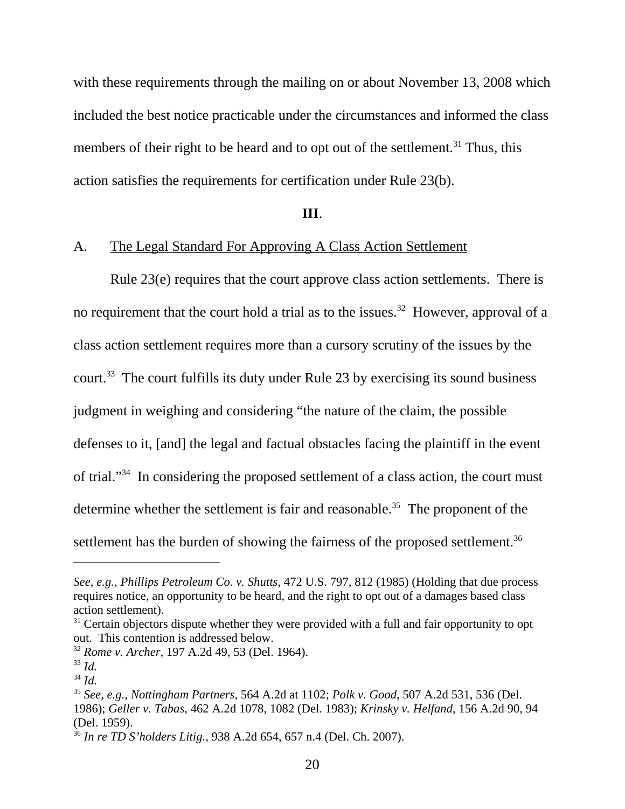with these requirements through the mailing on or about November 13, 2008 which included the best notice practicable under the circumstances and informed the class members of their right to be heard and to opt out of the settlement.<sup>31</sup> Thus, this action satisfies the requirements for certification under Rule 23(b).

#### **III**.

# A. The Legal Standard For Approving A Class Action Settlement

Rule 23(e) requires that the court approve class action settlements. There is no requirement that the court hold a trial as to the issues.<sup>32</sup> However, approval of a class action settlement requires more than a cursory scrutiny of the issues by the court.33 The court fulfills its duty under Rule 23 by exercising its sound business judgment in weighing and considering "the nature of the claim, the possible defenses to it, [and] the legal and factual obstacles facing the plaintiff in the event of trial."34 In considering the proposed settlement of a class action, the court must determine whether the settlement is fair and reasonable.<sup>35</sup> The proponent of the settlement has the burden of showing the fairness of the proposed settlement.<sup>36</sup>

*See, e.g., Phillips Petroleum Co. v. Shutts,* 472 U.S. 797, 812 (1985) (Holding that due process requires notice, an opportunity to be heard, and the right to opt out of a damages based class action settlement).

 $31$  Certain objectors dispute whether they were provided with a full and fair opportunity to opt out. This contention is addressed below.

<sup>32</sup> *Rome v. Archer,* 197 A.2d 49, 53 (Del. 1964).

<sup>33</sup> *Id.*

<sup>34</sup> *Id.*

<sup>35</sup> *See, e.g., Nottingham Partners*, 564 A.2d at 1102; *Polk v. Good*, 507 A.2d 531, 536 (Del. 1986); *Geller v. Tabas*, 462 A.2d 1078, 1082 (Del. 1983); *Krinsky v. Helfand*, 156 A.2d 90, 94 (Del. 1959).

<sup>36</sup> *In re TD S'holders Litig.*, 938 A.2d 654, 657 n.4 (Del. Ch. 2007).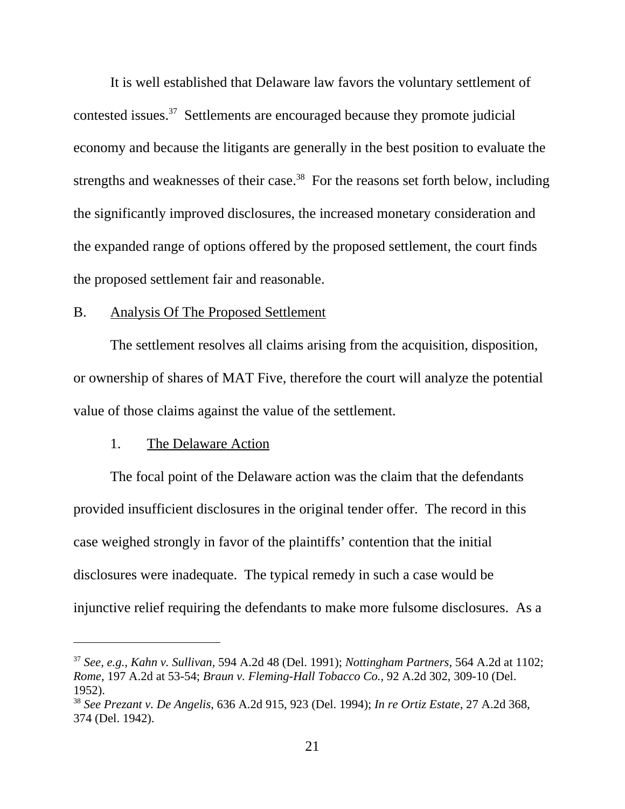It is well established that Delaware law favors the voluntary settlement of contested issues.37 Settlements are encouraged because they promote judicial economy and because the litigants are generally in the best position to evaluate the strengths and weaknesses of their case.<sup>38</sup> For the reasons set forth below, including the significantly improved disclosures, the increased monetary consideration and the expanded range of options offered by the proposed settlement, the court finds the proposed settlement fair and reasonable.

# B. Analysis Of The Proposed Settlement

The settlement resolves all claims arising from the acquisition, disposition, or ownership of shares of MAT Five, therefore the court will analyze the potential value of those claims against the value of the settlement.

## 1. The Delaware Action

The focal point of the Delaware action was the claim that the defendants provided insufficient disclosures in the original tender offer. The record in this case weighed strongly in favor of the plaintiffs' contention that the initial disclosures were inadequate. The typical remedy in such a case would be injunctive relief requiring the defendants to make more fulsome disclosures. As a

<sup>37</sup> *See, e.g., Kahn v. Sullivan,* 594 A.2d 48 (Del. 1991); *Nottingham Partners,* 564 A.2d at 1102; *Rome,* 197 A.2d at 53-54; *Braun v. Fleming-Hall Tobacco Co.,* 92 A.2d 302, 309-10 (Del. 1952).

<sup>38</sup> *See Prezant v. De Angelis*, 636 A.2d 915, 923 (Del. 1994); *In re Ortiz Estate*, 27 A.2d 368, 374 (Del. 1942).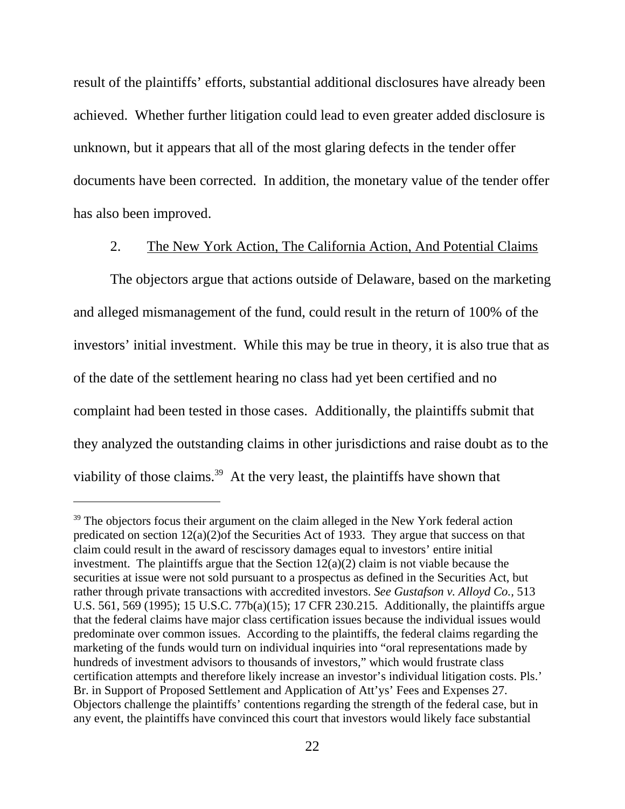result of the plaintiffs' efforts, substantial additional disclosures have already been achieved. Whether further litigation could lead to even greater added disclosure is unknown, but it appears that all of the most glaring defects in the tender offer documents have been corrected. In addition, the monetary value of the tender offer has also been improved.

## 2. The New York Action, The California Action, And Potential Claims

The objectors argue that actions outside of Delaware, based on the marketing and alleged mismanagement of the fund, could result in the return of 100% of the investors' initial investment. While this may be true in theory, it is also true that as of the date of the settlement hearing no class had yet been certified and no complaint had been tested in those cases. Additionally, the plaintiffs submit that they analyzed the outstanding claims in other jurisdictions and raise doubt as to the viability of those claims.<sup>39</sup> At the very least, the plaintiffs have shown that

<sup>&</sup>lt;sup>39</sup> The objectors focus their argument on the claim alleged in the New York federal action predicated on section 12(a)(2)of the Securities Act of 1933. They argue that success on that claim could result in the award of rescissory damages equal to investors' entire initial investment. The plaintiffs argue that the Section  $12(a)(2)$  claim is not viable because the securities at issue were not sold pursuant to a prospectus as defined in the Securities Act, but rather through private transactions with accredited investors. *See Gustafson v. Alloyd Co.,* 513 U.S. 561, 569 (1995); 15 U.S.C. 77b(a)(15); 17 CFR 230.215. Additionally, the plaintiffs argue that the federal claims have major class certification issues because the individual issues would predominate over common issues. According to the plaintiffs, the federal claims regarding the marketing of the funds would turn on individual inquiries into "oral representations made by hundreds of investment advisors to thousands of investors," which would frustrate class certification attempts and therefore likely increase an investor's individual litigation costs. Pls.' Br. in Support of Proposed Settlement and Application of Att'ys' Fees and Expenses 27. Objectors challenge the plaintiffs' contentions regarding the strength of the federal case, but in any event, the plaintiffs have convinced this court that investors would likely face substantial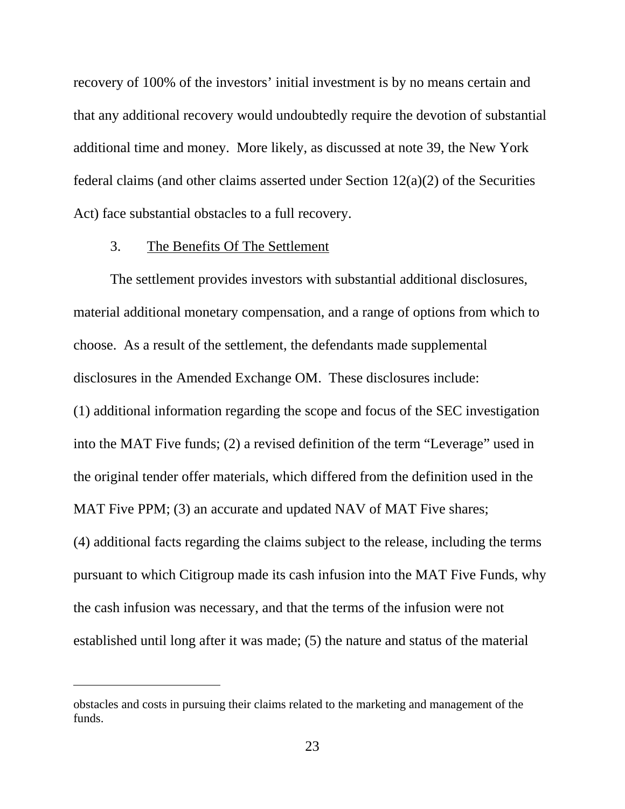recovery of 100% of the investors' initial investment is by no means certain and that any additional recovery would undoubtedly require the devotion of substantial additional time and money. More likely, as discussed at note 39, the New York federal claims (and other claims asserted under Section 12(a)(2) of the Securities Act) face substantial obstacles to a full recovery.

#### 3. The Benefits Of The Settlement

The settlement provides investors with substantial additional disclosures, material additional monetary compensation, and a range of options from which to choose. As a result of the settlement, the defendants made supplemental disclosures in the Amended Exchange OM. These disclosures include: (1) additional information regarding the scope and focus of the SEC investigation into the MAT Five funds; (2) a revised definition of the term "Leverage" used in the original tender offer materials, which differed from the definition used in the MAT Five PPM; (3) an accurate and updated NAV of MAT Five shares;

(4) additional facts regarding the claims subject to the release, including the terms pursuant to which Citigroup made its cash infusion into the MAT Five Funds, why the cash infusion was necessary, and that the terms of the infusion were not established until long after it was made; (5) the nature and status of the material

obstacles and costs in pursuing their claims related to the marketing and management of the funds.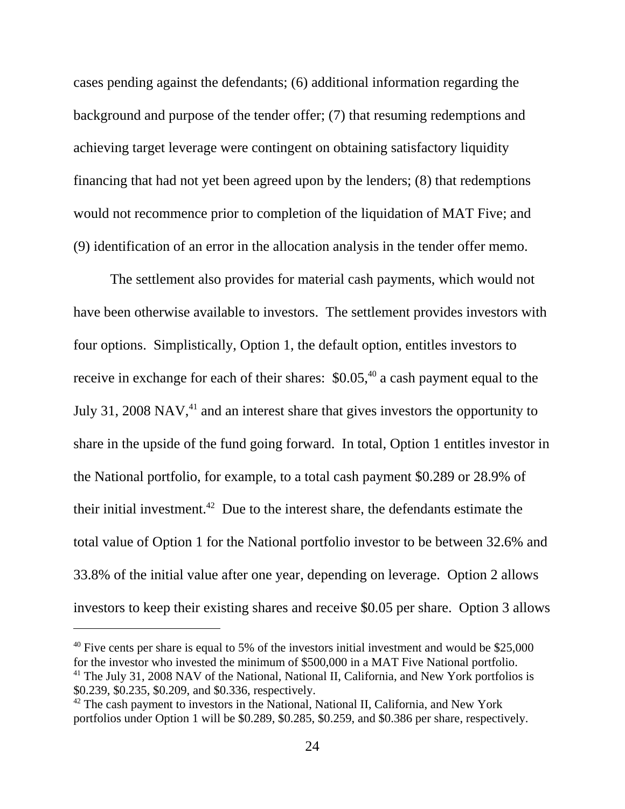cases pending against the defendants; (6) additional information regarding the background and purpose of the tender offer; (7) that resuming redemptions and achieving target leverage were contingent on obtaining satisfactory liquidity financing that had not yet been agreed upon by the lenders; (8) that redemptions would not recommence prior to completion of the liquidation of MAT Five; and (9) identification of an error in the allocation analysis in the tender offer memo.

The settlement also provides for material cash payments, which would not have been otherwise available to investors. The settlement provides investors with four options. Simplistically, Option 1, the default option, entitles investors to receive in exchange for each of their shares:  $$0.05<sup>40</sup>$  a cash payment equal to the July 31, 2008 NAV, $41$  and an interest share that gives investors the opportunity to share in the upside of the fund going forward. In total, Option 1 entitles investor in the National portfolio, for example, to a total cash payment \$0.289 or 28.9% of their initial investment.42 Due to the interest share, the defendants estimate the total value of Option 1 for the National portfolio investor to be between 32.6% and 33.8% of the initial value after one year, depending on leverage. Option 2 allows investors to keep their existing shares and receive \$0.05 per share. Option 3 allows

 $40$  Five cents per share is equal to 5% of the investors initial investment and would be \$25,000 for the investor who invested the minimum of \$500,000 in a MAT Five National portfolio.  $41$  The July 31, 2008 NAV of the National, National II, California, and New York portfolios is \$0.239, \$0.235, \$0.209, and \$0.336, respectively.

 $42$  The cash payment to investors in the National, National II, California, and New York portfolios under Option 1 will be \$0.289, \$0.285, \$0.259, and \$0.386 per share, respectively.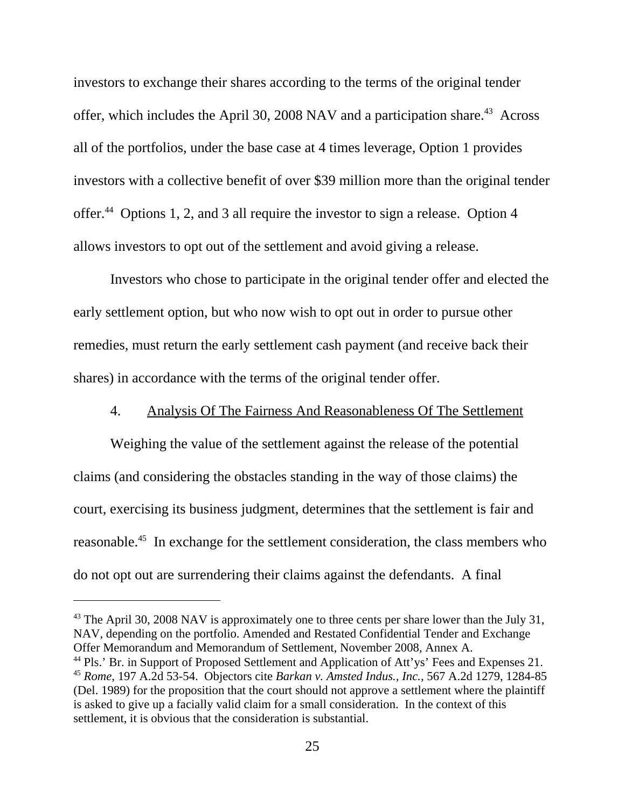investors to exchange their shares according to the terms of the original tender offer, which includes the April 30, 2008 NAV and a participation share.<sup>43</sup> Across all of the portfolios, under the base case at 4 times leverage, Option 1 provides investors with a collective benefit of over \$39 million more than the original tender offer.44 Options 1, 2, and 3 all require the investor to sign a release. Option 4 allows investors to opt out of the settlement and avoid giving a release.

Investors who chose to participate in the original tender offer and elected the early settlement option, but who now wish to opt out in order to pursue other remedies, must return the early settlement cash payment (and receive back their shares) in accordance with the terms of the original tender offer.

## 4. Analysis Of The Fairness And Reasonableness Of The Settlement

Weighing the value of the settlement against the release of the potential claims (and considering the obstacles standing in the way of those claims) the court, exercising its business judgment, determines that the settlement is fair and reasonable.45 In exchange for the settlement consideration, the class members who do not opt out are surrendering their claims against the defendants. A final

 $43$  The April 30, 2008 NAV is approximately one to three cents per share lower than the July 31, NAV, depending on the portfolio. Amended and Restated Confidential Tender and Exchange Offer Memorandum and Memorandum of Settlement, November 2008, Annex A.

<sup>&</sup>lt;sup>44</sup> Pls.' Br. in Support of Proposed Settlement and Application of Att'ys' Fees and Expenses 21. <sup>45</sup> *Rome*, 197 A.2d 53-54. Objectors cite *Barkan v. Amsted Indus., Inc.,* 567 A.2d 1279, 1284-85 (Del. 1989) for the proposition that the court should not approve a settlement where the plaintiff is asked to give up a facially valid claim for a small consideration. In the context of this settlement, it is obvious that the consideration is substantial.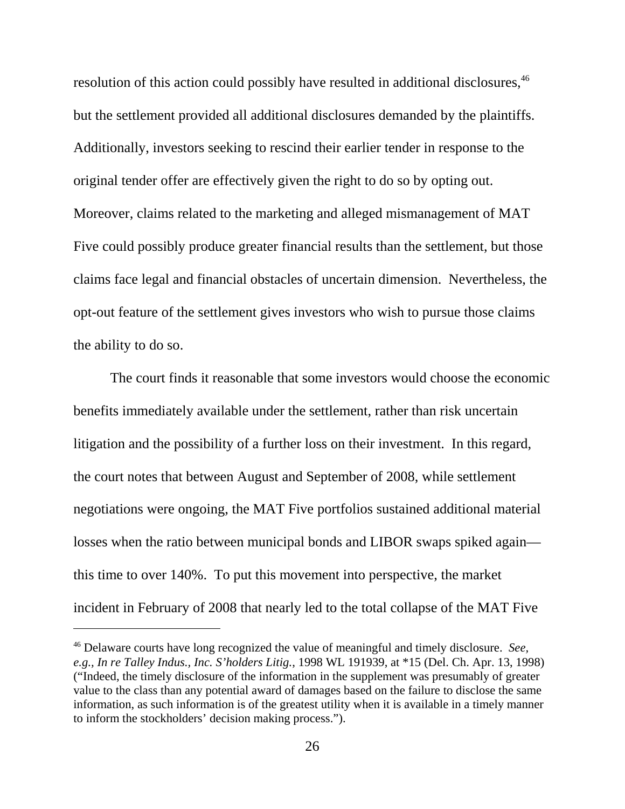resolution of this action could possibly have resulted in additional disclosures.<sup>46</sup> but the settlement provided all additional disclosures demanded by the plaintiffs. Additionally, investors seeking to rescind their earlier tender in response to the original tender offer are effectively given the right to do so by opting out. Moreover, claims related to the marketing and alleged mismanagement of MAT Five could possibly produce greater financial results than the settlement, but those claims face legal and financial obstacles of uncertain dimension. Nevertheless, the opt-out feature of the settlement gives investors who wish to pursue those claims the ability to do so.

The court finds it reasonable that some investors would choose the economic benefits immediately available under the settlement, rather than risk uncertain litigation and the possibility of a further loss on their investment. In this regard, the court notes that between August and September of 2008, while settlement negotiations were ongoing, the MAT Five portfolios sustained additional material losses when the ratio between municipal bonds and LIBOR swaps spiked again this time to over 140%. To put this movement into perspective, the market incident in February of 2008 that nearly led to the total collapse of the MAT Five

<sup>46</sup> Delaware courts have long recognized the value of meaningful and timely disclosure. *See, e.g., In re Talley Indus., Inc. S'holders Litig.*, 1998 WL 191939, at \*15 (Del. Ch. Apr. 13, 1998) ("Indeed, the timely disclosure of the information in the supplement was presumably of greater value to the class than any potential award of damages based on the failure to disclose the same information, as such information is of the greatest utility when it is available in a timely manner to inform the stockholders' decision making process.").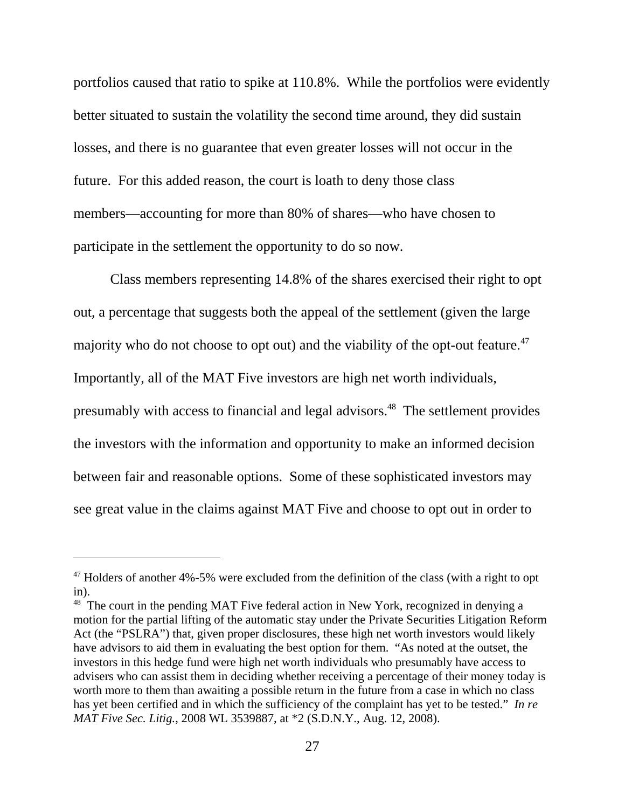portfolios caused that ratio to spike at 110.8%. While the portfolios were evidently better situated to sustain the volatility the second time around, they did sustain losses, and there is no guarantee that even greater losses will not occur in the future. For this added reason, the court is loath to deny those class members—accounting for more than 80% of shares—who have chosen to participate in the settlement the opportunity to do so now.

Class members representing 14.8% of the shares exercised their right to opt out, a percentage that suggests both the appeal of the settlement (given the large majority who do not choose to opt out) and the viability of the opt-out feature.<sup>47</sup> Importantly, all of the MAT Five investors are high net worth individuals, presumably with access to financial and legal advisors.48 The settlement provides the investors with the information and opportunity to make an informed decision between fair and reasonable options. Some of these sophisticated investors may see great value in the claims against MAT Five and choose to opt out in order to

<sup>&</sup>lt;sup>47</sup> Holders of another 4%-5% were excluded from the definition of the class (with a right to opt in).

<sup>&</sup>lt;sup>48</sup> The court in the pending MAT Five federal action in New York, recognized in denying a motion for the partial lifting of the automatic stay under the Private Securities Litigation Reform Act (the "PSLRA") that, given proper disclosures, these high net worth investors would likely have advisors to aid them in evaluating the best option for them. "As noted at the outset, the investors in this hedge fund were high net worth individuals who presumably have access to advisers who can assist them in deciding whether receiving a percentage of their money today is worth more to them than awaiting a possible return in the future from a case in which no class has yet been certified and in which the sufficiency of the complaint has yet to be tested." *In re MAT Five Sec. Litig.*, 2008 WL 3539887, at \*2 (S.D.N.Y., Aug. 12, 2008).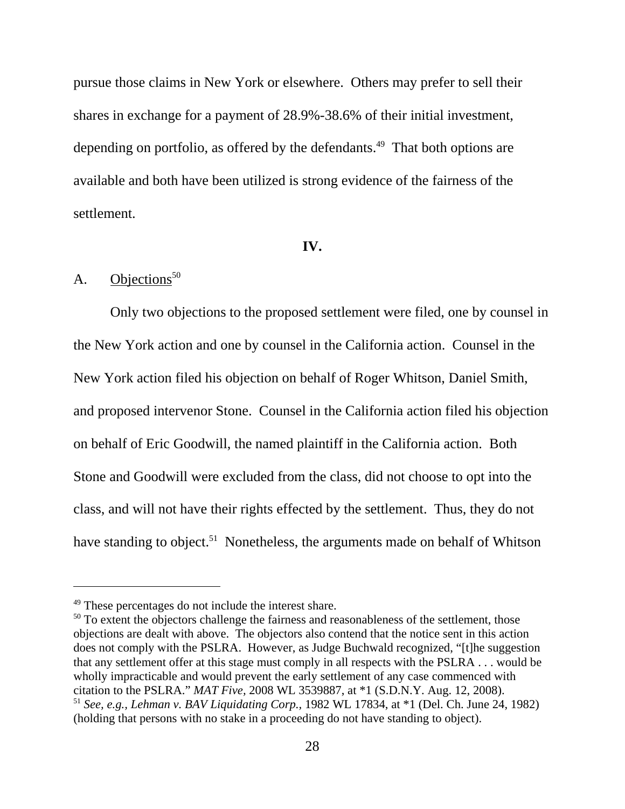pursue those claims in New York or elsewhere. Others may prefer to sell their shares in exchange for a payment of 28.9%-38.6% of their initial investment, depending on portfolio, as offered by the defendants.<sup>49</sup> That both options are available and both have been utilized is strong evidence of the fairness of the settlement.

#### **IV.**

# A. Objections $50$

Only two objections to the proposed settlement were filed, one by counsel in the New York action and one by counsel in the California action. Counsel in the New York action filed his objection on behalf of Roger Whitson, Daniel Smith, and proposed intervenor Stone. Counsel in the California action filed his objection on behalf of Eric Goodwill, the named plaintiff in the California action. Both Stone and Goodwill were excluded from the class, did not choose to opt into the class, and will not have their rights effected by the settlement. Thus, they do not have standing to object.<sup>51</sup> Nonetheless, the arguments made on behalf of Whitson

<sup>49</sup> These percentages do not include the interest share.

 $50$  To extent the objectors challenge the fairness and reasonableness of the settlement, those objections are dealt with above. The objectors also contend that the notice sent in this action does not comply with the PSLRA. However, as Judge Buchwald recognized, "[t]he suggestion that any settlement offer at this stage must comply in all respects with the PSLRA . . . would be wholly impracticable and would prevent the early settlement of any case commenced with citation to the PSLRA." *MAT Five,* 2008 WL 3539887, at \*1 (S.D.N.Y. Aug. 12, 2008). <sup>51</sup> *See, e.g., Lehman v. BAV Liquidating Corp.,* 1982 WL 17834, at \*1 (Del. Ch. June 24, 1982) (holding that persons with no stake in a proceeding do not have standing to object).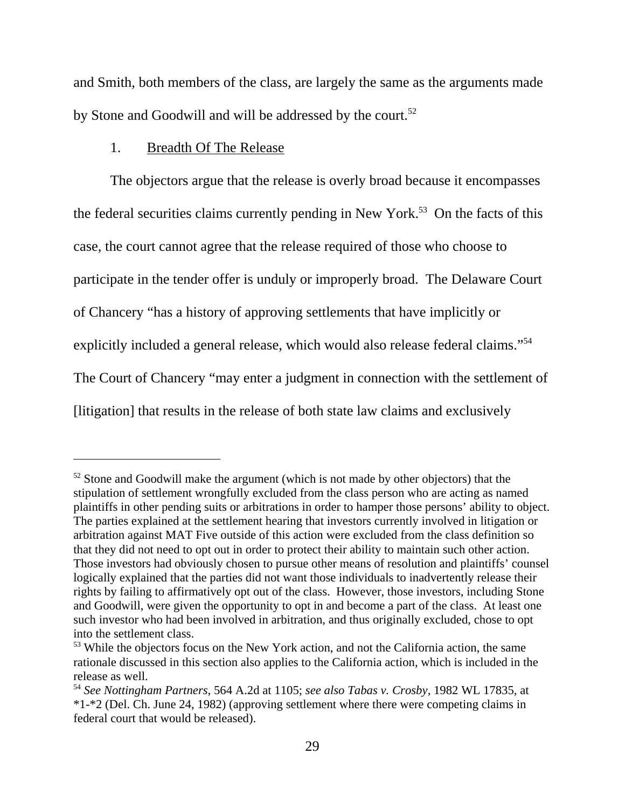and Smith, both members of the class, are largely the same as the arguments made by Stone and Goodwill and will be addressed by the court.<sup>52</sup>

# 1. Breadth Of The Release

The objectors argue that the release is overly broad because it encompasses the federal securities claims currently pending in New York.<sup>53</sup> On the facts of this case, the court cannot agree that the release required of those who choose to participate in the tender offer is unduly or improperly broad. The Delaware Court of Chancery "has a history of approving settlements that have implicitly or explicitly included a general release, which would also release federal claims."54 The Court of Chancery "may enter a judgment in connection with the settlement of [litigation] that results in the release of both state law claims and exclusively

 $52$  Stone and Goodwill make the argument (which is not made by other objectors) that the stipulation of settlement wrongfully excluded from the class person who are acting as named plaintiffs in other pending suits or arbitrations in order to hamper those persons' ability to object. The parties explained at the settlement hearing that investors currently involved in litigation or arbitration against MAT Five outside of this action were excluded from the class definition so that they did not need to opt out in order to protect their ability to maintain such other action. Those investors had obviously chosen to pursue other means of resolution and plaintiffs' counsel logically explained that the parties did not want those individuals to inadvertently release their rights by failing to affirmatively opt out of the class. However, those investors, including Stone and Goodwill, were given the opportunity to opt in and become a part of the class. At least one such investor who had been involved in arbitration, and thus originally excluded, chose to opt into the settlement class.

<sup>&</sup>lt;sup>53</sup> While the objectors focus on the New York action, and not the California action, the same rationale discussed in this section also applies to the California action, which is included in the release as well.

<sup>54</sup> *See Nottingham Partners*, 564 A.2d at 1105; *see also Tabas v. Crosby*, 1982 WL 17835, at \*1-\*2 (Del. Ch. June 24, 1982) (approving settlement where there were competing claims in federal court that would be released).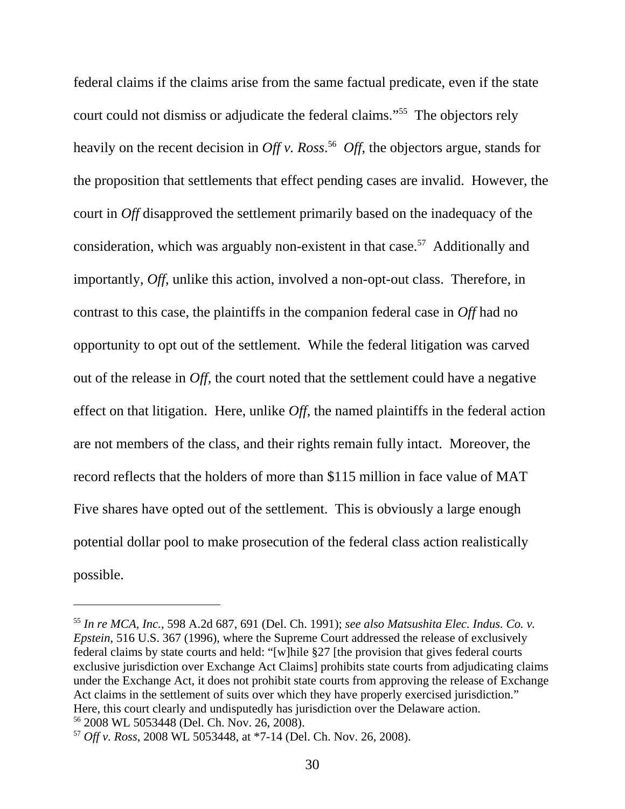federal claims if the claims arise from the same factual predicate, even if the state court could not dismiss or adjudicate the federal claims."55 The objectors rely heavily on the recent decision in *Off v. Ross*. 56 *Off*, the objectors argue, stands for the proposition that settlements that effect pending cases are invalid. However, the court in *Off* disapproved the settlement primarily based on the inadequacy of the consideration, which was arguably non-existent in that case.<sup>57</sup> Additionally and importantly, *Off*, unlike this action, involved a non-opt-out class. Therefore, in contrast to this case, the plaintiffs in the companion federal case in *Off* had no opportunity to opt out of the settlement*.* While the federal litigation was carved out of the release in *Off*, the court noted that the settlement could have a negative effect on that litigation. Here, unlike *Off*, the named plaintiffs in the federal action are not members of the class, and their rights remain fully intact. Moreover, the record reflects that the holders of more than \$115 million in face value of MAT Five shares have opted out of the settlement. This is obviously a large enough potential dollar pool to make prosecution of the federal class action realistically possible.

<sup>55</sup> *In re MCA, Inc.*, 598 A.2d 687, 691 (Del. Ch. 1991); *see also Matsushita Elec. Indus. Co. v. Epstein*, 516 U.S. 367 (1996), where the Supreme Court addressed the release of exclusively federal claims by state courts and held: "[w]hile §27 [the provision that gives federal courts exclusive jurisdiction over Exchange Act Claims] prohibits state courts from adjudicating claims under the Exchange Act, it does not prohibit state courts from approving the release of Exchange Act claims in the settlement of suits over which they have properly exercised jurisdiction." Here, this court clearly and undisputedly has jurisdiction over the Delaware action. 56 2008 WL 5053448 (Del. Ch. Nov. 26, 2008).

<sup>57</sup> *Off v. Ross*, 2008 WL 5053448, at \*7-14 (Del. Ch. Nov. 26, 2008).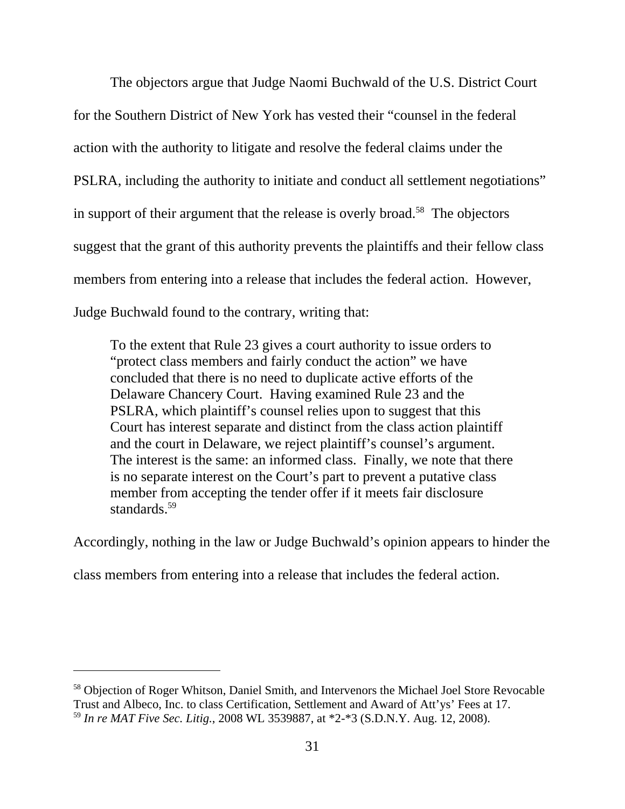The objectors argue that Judge Naomi Buchwald of the U.S. District Court for the Southern District of New York has vested their "counsel in the federal action with the authority to litigate and resolve the federal claims under the PSLRA, including the authority to initiate and conduct all settlement negotiations" in support of their argument that the release is overly broad.<sup>58</sup> The objectors suggest that the grant of this authority prevents the plaintiffs and their fellow class members from entering into a release that includes the federal action. However, Judge Buchwald found to the contrary, writing that:

To the extent that Rule 23 gives a court authority to issue orders to "protect class members and fairly conduct the action" we have concluded that there is no need to duplicate active efforts of the Delaware Chancery Court. Having examined Rule 23 and the PSLRA, which plaintiff's counsel relies upon to suggest that this Court has interest separate and distinct from the class action plaintiff and the court in Delaware, we reject plaintiff's counsel's argument. The interest is the same: an informed class. Finally, we note that there is no separate interest on the Court's part to prevent a putative class member from accepting the tender offer if it meets fair disclosure standards.<sup>59</sup>

Accordingly, nothing in the law or Judge Buchwald's opinion appears to hinder the

class members from entering into a release that includes the federal action.

<sup>&</sup>lt;sup>58</sup> Objection of Roger Whitson, Daniel Smith, and Intervenors the Michael Joel Store Revocable Trust and Albeco, Inc. to class Certification, Settlement and Award of Att'ys' Fees at 17. <sup>59</sup> *In re MAT Five Sec. Litig.*, 2008 WL 3539887, at \*2-\*3 (S.D.N.Y. Aug. 12, 2008).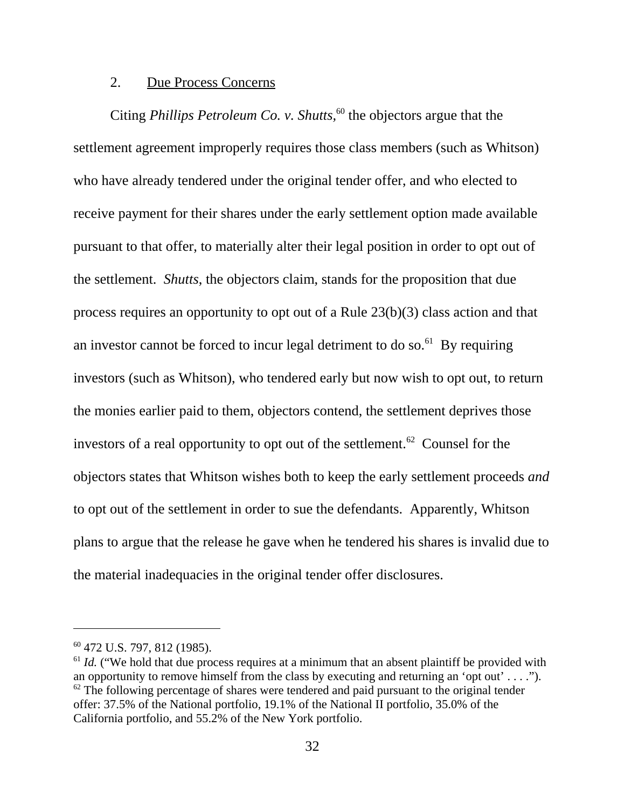## 2. Due Process Concerns

Citing *Phillips Petroleum Co. v. Shutts*,<sup>60</sup> the objectors argue that the settlement agreement improperly requires those class members (such as Whitson) who have already tendered under the original tender offer, and who elected to receive payment for their shares under the early settlement option made available pursuant to that offer, to materially alter their legal position in order to opt out of the settlement. *Shutts*, the objectors claim, stands for the proposition that due process requires an opportunity to opt out of a Rule 23(b)(3) class action and that an investor cannot be forced to incur legal detriment to do so.<sup>61</sup> By requiring investors (such as Whitson), who tendered early but now wish to opt out, to return the monies earlier paid to them, objectors contend, the settlement deprives those investors of a real opportunity to opt out of the settlement.<sup>62</sup> Counsel for the objectors states that Whitson wishes both to keep the early settlement proceeds *and* to opt out of the settlement in order to sue the defendants. Apparently, Whitson plans to argue that the release he gave when he tendered his shares is invalid due to the material inadequacies in the original tender offer disclosures.

<sup>60 472</sup> U.S. 797, 812 (1985).

<sup>&</sup>lt;sup>61</sup> *Id.* ("We hold that due process requires at a minimum that an absent plaintiff be provided with an opportunity to remove himself from the class by executing and returning an 'opt out'  $\dots$ ").  $62$  The following percentage of shares were tendered and paid pursuant to the original tender offer: 37.5% of the National portfolio, 19.1% of the National II portfolio, 35.0% of the California portfolio, and 55.2% of the New York portfolio.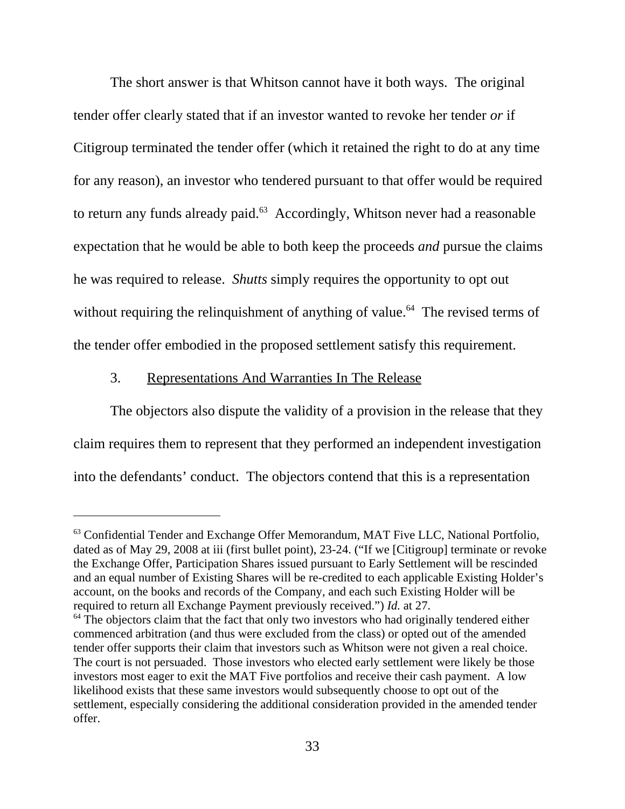The short answer is that Whitson cannot have it both ways. The original tender offer clearly stated that if an investor wanted to revoke her tender *or* if Citigroup terminated the tender offer (which it retained the right to do at any time for any reason), an investor who tendered pursuant to that offer would be required to return any funds already paid.<sup>63</sup> Accordingly, Whitson never had a reasonable expectation that he would be able to both keep the proceeds *and* pursue the claims he was required to release. *Shutts* simply requires the opportunity to opt out without requiring the relinquishment of anything of value.<sup> $64$ </sup> The revised terms of the tender offer embodied in the proposed settlement satisfy this requirement.

# 3. Representations And Warranties In The Release

The objectors also dispute the validity of a provision in the release that they claim requires them to represent that they performed an independent investigation into the defendants' conduct. The objectors contend that this is a representation

<sup>&</sup>lt;sup>63</sup> Confidential Tender and Exchange Offer Memorandum, MAT Five LLC, National Portfolio, dated as of May 29, 2008 at iii (first bullet point), 23-24. ("If we [Citigroup] terminate or revoke the Exchange Offer, Participation Shares issued pursuant to Early Settlement will be rescinded and an equal number of Existing Shares will be re-credited to each applicable Existing Holder's account, on the books and records of the Company, and each such Existing Holder will be required to return all Exchange Payment previously received.") *Id.* at 27.

 $64$  The objectors claim that the fact that only two investors who had originally tendered either commenced arbitration (and thus were excluded from the class) or opted out of the amended tender offer supports their claim that investors such as Whitson were not given a real choice. The court is not persuaded. Those investors who elected early settlement were likely be those investors most eager to exit the MAT Five portfolios and receive their cash payment. A low likelihood exists that these same investors would subsequently choose to opt out of the settlement, especially considering the additional consideration provided in the amended tender offer.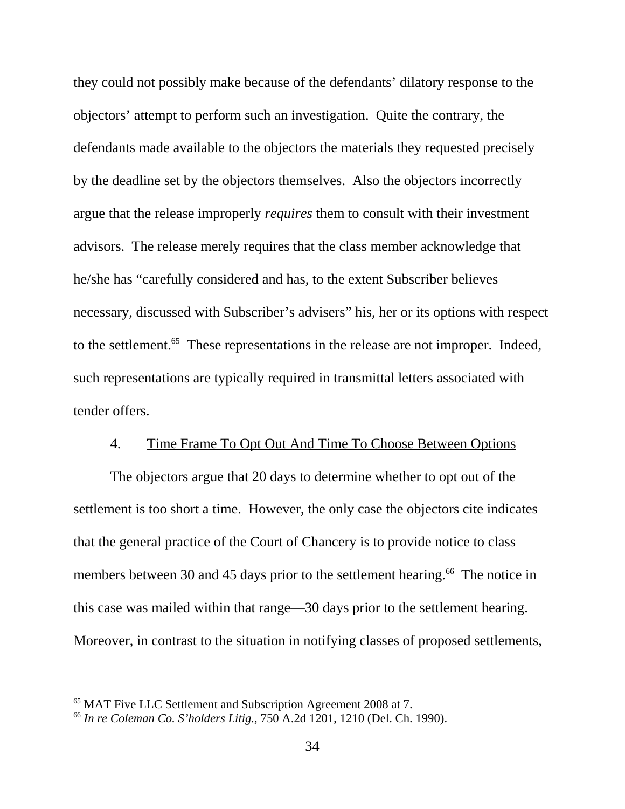they could not possibly make because of the defendants' dilatory response to the objectors' attempt to perform such an investigation. Quite the contrary, the defendants made available to the objectors the materials they requested precisely by the deadline set by the objectors themselves. Also the objectors incorrectly argue that the release improperly *requires* them to consult with their investment advisors. The release merely requires that the class member acknowledge that he/she has "carefully considered and has, to the extent Subscriber believes necessary, discussed with Subscriber's advisers" his, her or its options with respect to the settlement.<sup>65</sup> These representations in the release are not improper. Indeed, such representations are typically required in transmittal letters associated with tender offers.

## 4. Time Frame To Opt Out And Time To Choose Between Options

The objectors argue that 20 days to determine whether to opt out of the settlement is too short a time. However, the only case the objectors cite indicates that the general practice of the Court of Chancery is to provide notice to class members between 30 and 45 days prior to the settlement hearing.<sup>66</sup> The notice in this case was mailed within that range—30 days prior to the settlement hearing. Moreover, in contrast to the situation in notifying classes of proposed settlements,

<sup>65</sup> MAT Five LLC Settlement and Subscription Agreement 2008 at 7.

<sup>66</sup> *In re Coleman Co. S'holders Litig.,* 750 A.2d 1201, 1210 (Del. Ch. 1990).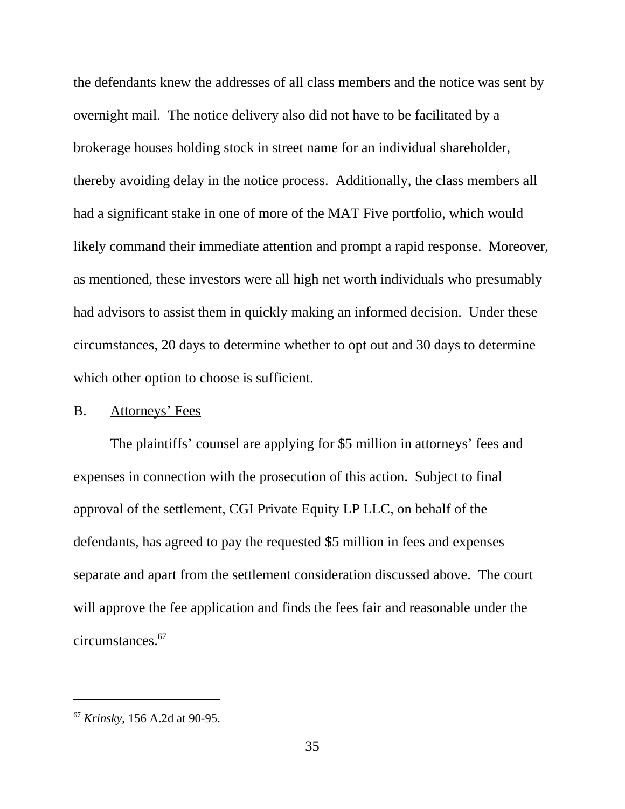the defendants knew the addresses of all class members and the notice was sent by overnight mail. The notice delivery also did not have to be facilitated by a brokerage houses holding stock in street name for an individual shareholder, thereby avoiding delay in the notice process. Additionally, the class members all had a significant stake in one of more of the MAT Five portfolio, which would likely command their immediate attention and prompt a rapid response. Moreover, as mentioned, these investors were all high net worth individuals who presumably had advisors to assist them in quickly making an informed decision. Under these circumstances, 20 days to determine whether to opt out and 30 days to determine which other option to choose is sufficient.

#### B. Attorneys' Fees

The plaintiffs' counsel are applying for \$5 million in attorneys' fees and expenses in connection with the prosecution of this action. Subject to final approval of the settlement, CGI Private Equity LP LLC, on behalf of the defendants, has agreed to pay the requested \$5 million in fees and expenses separate and apart from the settlement consideration discussed above. The court will approve the fee application and finds the fees fair and reasonable under the circumstances.67

<sup>67</sup> *Krinsky*, 156 A.2d at 90-95.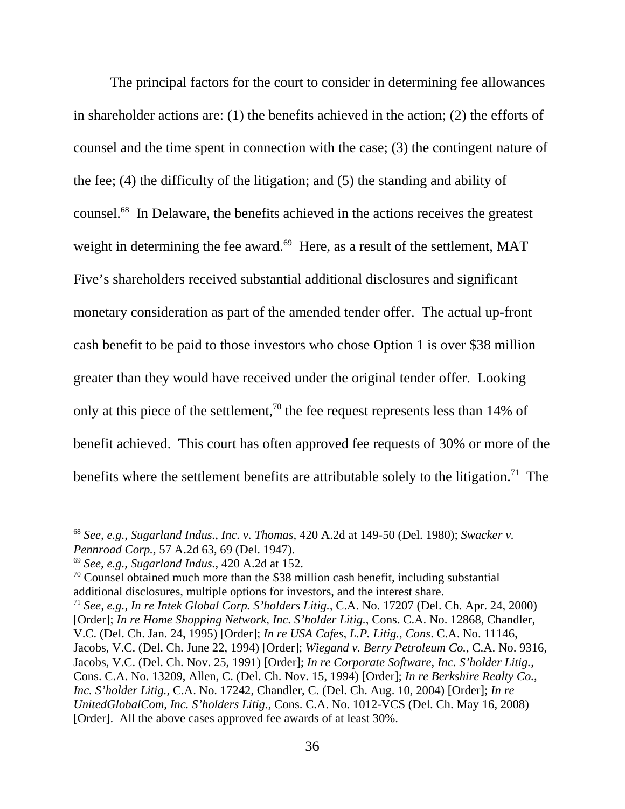The principal factors for the court to consider in determining fee allowances in shareholder actions are: (1) the benefits achieved in the action; (2) the efforts of counsel and the time spent in connection with the case; (3) the contingent nature of the fee; (4) the difficulty of the litigation; and (5) the standing and ability of counsel.68 In Delaware, the benefits achieved in the actions receives the greatest weight in determining the fee award.<sup>69</sup> Here, as a result of the settlement, MAT Five's shareholders received substantial additional disclosures and significant monetary consideration as part of the amended tender offer. The actual up-front cash benefit to be paid to those investors who chose Option 1 is over \$38 million greater than they would have received under the original tender offer. Looking only at this piece of the settlement,<sup>70</sup> the fee request represents less than 14% of benefit achieved. This court has often approved fee requests of 30% or more of the benefits where the settlement benefits are attributable solely to the litigation.<sup>71</sup> The

<sup>68</sup> *See, e.g., Sugarland Indus., Inc. v. Thomas,* 420 A.2d at 149-50 (Del. 1980); *Swacker v. Pennroad Corp.,* 57 A.2d 63, 69 (Del. 1947).

<sup>69</sup> *See, e.g., Sugarland Indus.,* 420 A.2d at 152.

 $70$  Counsel obtained much more than the \$38 million cash benefit, including substantial additional disclosures, multiple options for investors, and the interest share.

<sup>71</sup> *See, e.g., In re Intek Global Corp. S'holders Litig.,* C.A. No. 17207 (Del. Ch. Apr. 24, 2000) [Order]; *In re Home Shopping Network, Inc. S'holder Litig.*, Cons. C.A. No. 12868, Chandler, V.C. (Del. Ch. Jan. 24, 1995) [Order]; *In re USA Cafes, L.P. Litig., Cons*. C.A. No. 11146, Jacobs, V.C. (Del. Ch. June 22, 1994) [Order]; *Wiegand v. Berry Petroleum Co.*, C.A. No. 9316, Jacobs, V.C. (Del. Ch. Nov. 25, 1991) [Order]; *In re Corporate Software, Inc. S'holder Litig.,* Cons. C.A. No. 13209, Allen, C. (Del. Ch. Nov. 15, 1994) [Order]; *In re Berkshire Realty Co., Inc. S'holder Litig.,* C.A. No. 17242, Chandler, C. (Del. Ch. Aug. 10, 2004) [Order]; *In re UnitedGlobalCom, Inc. S'holders Litig.,* Cons. C.A. No. 1012-VCS (Del. Ch. May 16, 2008) [Order]. All the above cases approved fee awards of at least 30%.